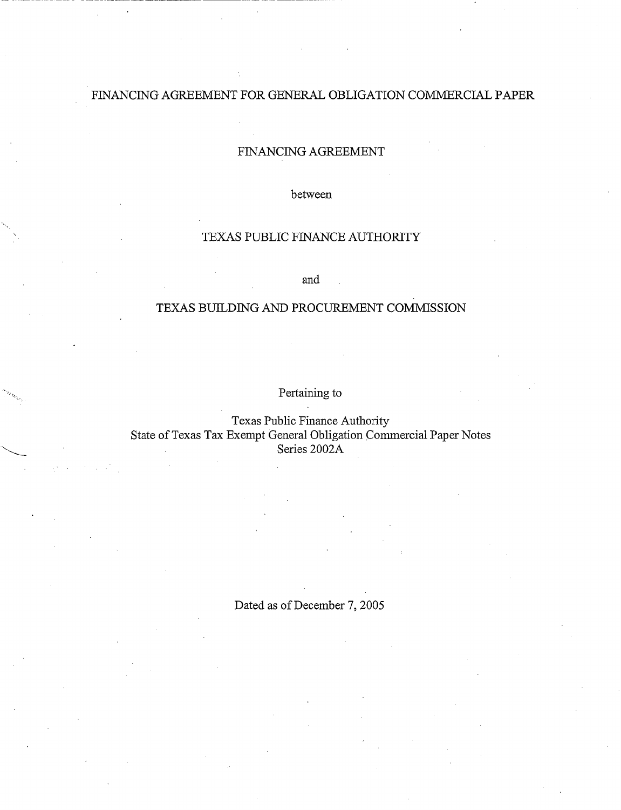# FINANCING AGREEMENT FOR GENERAL OBLIGATION COMMERCIAL PAPER

-- ---------------- ----------~--·----·--------------- ----------------

# FINANCING AGREEMENT

between

# TEXAS PUBLIC FINANCE AUTHORITY

and

# TEXAS BUILDING AND PROCUREMENT COMMISSION

Pertaining to

Texas Public Finance Authority State of Texas Tax Exempt General Obligation Commercial Paper Notes Series 2002A

Dated as of December 7, 2005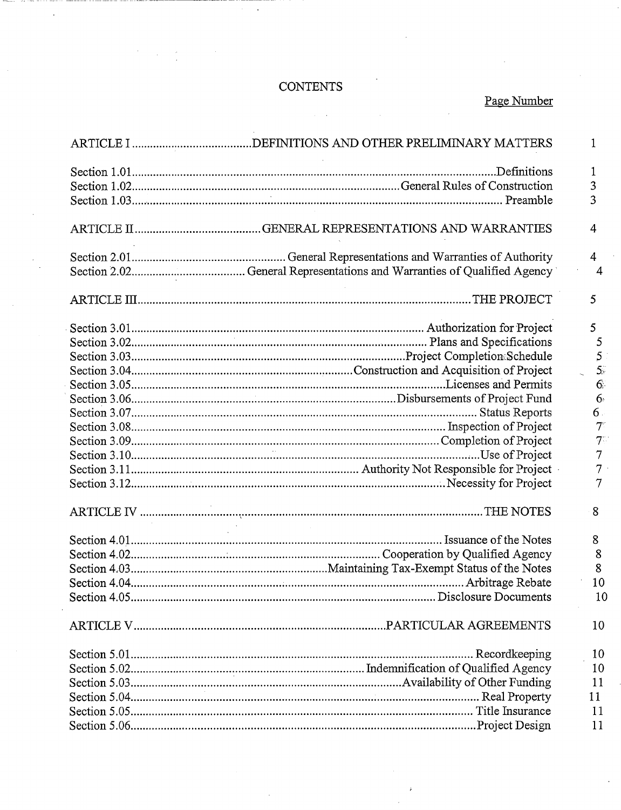# **CONTENTS**

# Page Number

| 1              |
|----------------|
| $\mathbf{1}$   |
| 3              |
| 3              |
|                |
| 4              |
| 4              |
| $\overline{4}$ |
| 5              |
| 5              |
| 5              |
| 5              |
| 5              |
| 6              |
| 6 <sub>o</sub> |
| 6.             |
| $7^{\circ}$    |
| $7^\circ$      |
| 7              |
| 7              |
| 7              |
| 8              |
| 8              |
| 8              |
| 8              |
| 10             |
| 10             |
| 10             |
| 10             |
| 10             |
| 11             |
| 11             |
| 11             |
| 11             |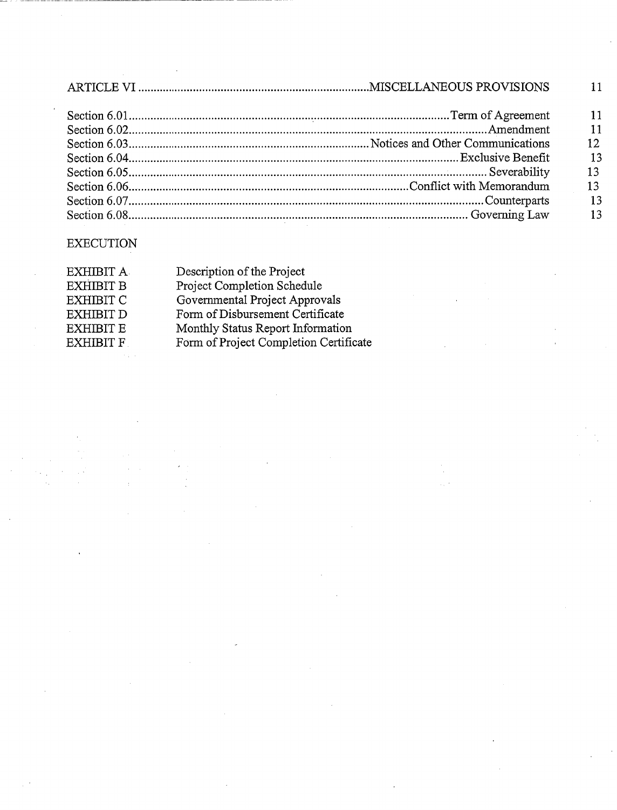|  | $\sim$ 11 |
|--|-----------|
|  | 11        |
|  | 12        |
|  | 13        |
|  | 13        |
|  | 13        |
|  | 13        |
|  | 13        |
|  |           |

# EXECUTION

- ----~-----~----~~- ~~--~---·-- ---------- --

| Description of the Project             |
|----------------------------------------|
| Project Completion Schedule            |
| Governmental Project Approvals         |
| Form of Disbursement Certificate       |
| Monthly Status Report Information      |
| Form of Project Completion Certificate |
|                                        |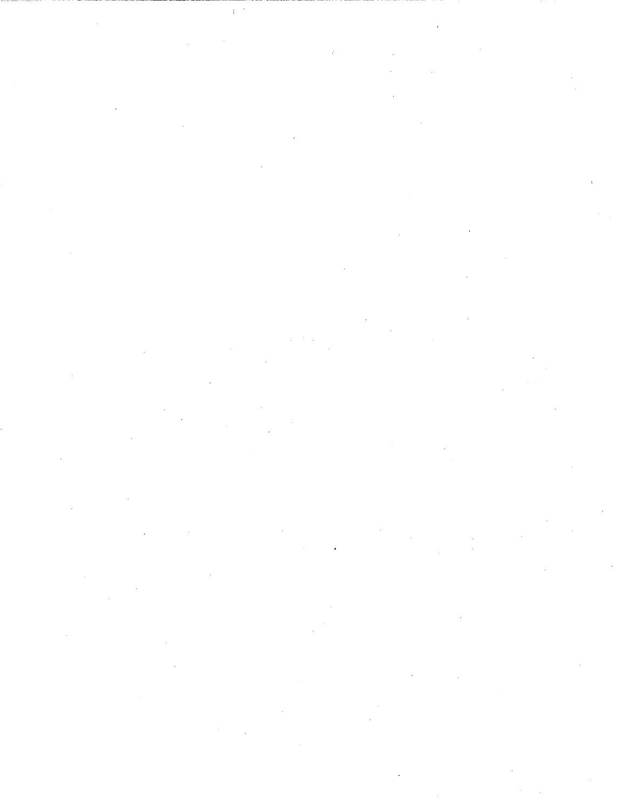$\label{eq:2.1} \frac{1}{\sqrt{2}}\sum_{i=1}^n\frac{1}{\sqrt{2}}\sum_{i=1}^n\frac{1}{\sqrt{2}}\sum_{i=1}^n\frac{1}{\sqrt{2}}\sum_{i=1}^n\frac{1}{\sqrt{2}}\sum_{i=1}^n\frac{1}{\sqrt{2}}\sum_{i=1}^n\frac{1}{\sqrt{2}}\sum_{i=1}^n\frac{1}{\sqrt{2}}\sum_{i=1}^n\frac{1}{\sqrt{2}}\sum_{i=1}^n\frac{1}{\sqrt{2}}\sum_{i=1}^n\frac{1}{\sqrt{2}}\sum_{i=1}^n\frac$  $\mathcal{L}_{\text{max}}$  and  $\mathcal{L}_{\text{max}}$  $\label{eq:2.1} \frac{1}{\sqrt{2}}\int_{\mathbb{R}^3}\frac{1}{\sqrt{2}}\left(\frac{1}{\sqrt{2}}\right)^2\frac{1}{\sqrt{2}}\left(\frac{1}{\sqrt{2}}\right)^2\frac{1}{\sqrt{2}}\left(\frac{1}{\sqrt{2}}\right)^2\frac{1}{\sqrt{2}}\left(\frac{1}{\sqrt{2}}\right)^2\frac{1}{\sqrt{2}}\left(\frac{1}{\sqrt{2}}\right)^2\frac{1}{\sqrt{2}}\frac{1}{\sqrt{2}}\frac{1}{\sqrt{2}}\frac{1}{\sqrt{2}}\frac{1}{\sqrt{2}}\frac{1}{\sqrt{2}}$ 

 $\label{eq:2.1} \frac{1}{2}\sum_{i=1}^n\frac{1}{2}\sum_{j=1}^n\frac{1}{2}\sum_{j=1}^n\frac{1}{2}\sum_{j=1}^n\frac{1}{2}\sum_{j=1}^n\frac{1}{2}\sum_{j=1}^n\frac{1}{2}\sum_{j=1}^n\frac{1}{2}\sum_{j=1}^n\frac{1}{2}\sum_{j=1}^n\frac{1}{2}\sum_{j=1}^n\frac{1}{2}\sum_{j=1}^n\frac{1}{2}\sum_{j=1}^n\frac{1}{2}\sum_{j=1}^n\frac{1}{2}\sum_{j=1}^n\$ 

 $\label{eq:2.1} \frac{1}{\sqrt{2}}\sum_{i=1}^n\frac{1}{\sqrt{2\pi}}\sum_{i=1}^n\frac{1}{\sqrt{2\pi}}\sum_{i=1}^n\frac{1}{\sqrt{2\pi}}\sum_{i=1}^n\frac{1}{\sqrt{2\pi}}\sum_{i=1}^n\frac{1}{\sqrt{2\pi}}\sum_{i=1}^n\frac{1}{\sqrt{2\pi}}\sum_{i=1}^n\frac{1}{\sqrt{2\pi}}\sum_{i=1}^n\frac{1}{\sqrt{2\pi}}\sum_{i=1}^n\frac{1}{\sqrt{2\pi}}\sum_{i=1}^n\frac{$ 

 $\begin{split} \mathbf{P}_{\mathbf{p}}(\mathbf{p}) & = \mathbf{P}_{\mathbf{p}}(\mathbf{p}) \mathbf{P}_{\mathbf{p}}(\mathbf{p}) \mathbf{P}_{\mathbf{p}}(\mathbf{p}) \\ & = \mathbf{P}_{\mathbf{p}}(\mathbf{p}) \mathbf{P}_{\mathbf{p}}(\mathbf{p}) \mathbf{P}_{\mathbf{p}}(\mathbf{p}) \mathbf{P}_{\mathbf{p}}(\mathbf{p}) \mathbf{P}_{\mathbf{p}}(\mathbf{p}) \mathbf{P}_{\mathbf{p}}(\mathbf{p}) \mathbf{P}_{\mathbf{p}}(\mathbf{p}) \mathbf{P}_{\mathbf{p}}$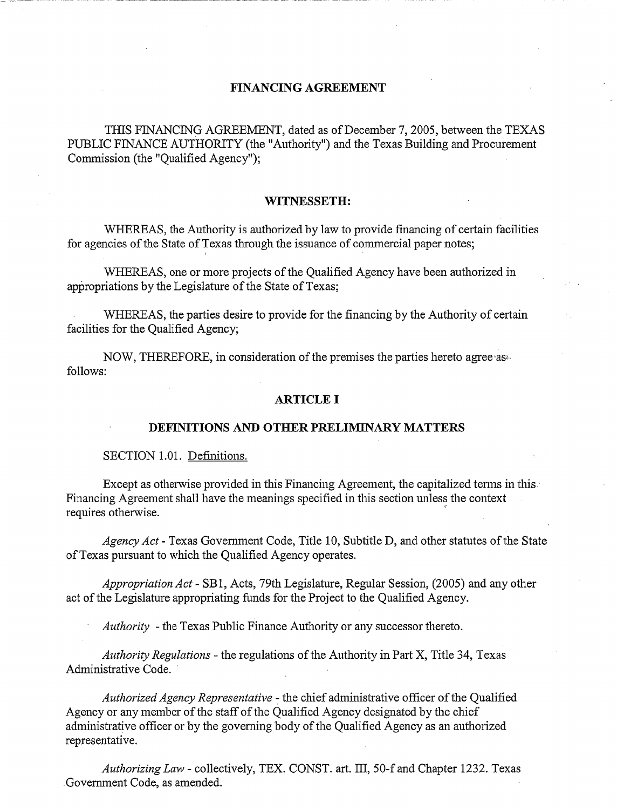# **FINANCING AGREEMENT**

THIS FINANCING AGREEMENT, dated as of December 7, 2005, between the TEXAS PUBLIC FINANCE AUTHORITY (the "Authority") and the Texas Building and Procurement Commission (the "Qualified Agency");

# **WITNESSETH:**

WHEREAS, the Authority is authorized by law to provide financing of certain facilities for agencies of the State of Texas through the issuance of commercial paper notes;

WHEREAS, one or more projects of the Qualified Agency have been authorized in appropriations by the Legislature of the State of Texas;

WHEREAS, the parties desire to provide for the financing by the Authority of certain facilities for the Qualified Agency;

NOW, THEREFORE, in consideration of the premises the parties hereto agree as follows:

## **ARTICLE I**

## **DEFINITIONS AND OTHER PRELIMINARY MATTERS**

#### SECTION 1.01. Definitions.

Except as otherwise provided in this Financing Agreement, the capitalized terms in this Financing Agreement shall have the meanings specified in this section unless the context requires otherwise.

*Agency Act-* Texas Government Code, Title 10, SubtitleD, and other statutes of the State of Texas pursuant to which the Qualified Agency operates.

*Appropriation Act* - SB 1, Acts, 79th Legislature, Regular Session, (2005) and any other act of the Legislature appropriating funds for the Project to the Qualified Agency.

*Authority* - the Texas Public Finance Authority or any successor thereto.

*Authority Regulations-* the regulations of the Authority in Part X, Title 34, Texas Administrative Code.

*Authorized Agency Representative* - the chief administrative officer of the Qualified Agency or any member of the staff of the Qualified Agency designated by the chief administrative officer or by the governing body of the Qualified Agency as an authorized representative.

*Authorizing Law-* collectively, TEX. CONST. art. III, 50-f and Chapter 1232. Texas . Government Code, as amended.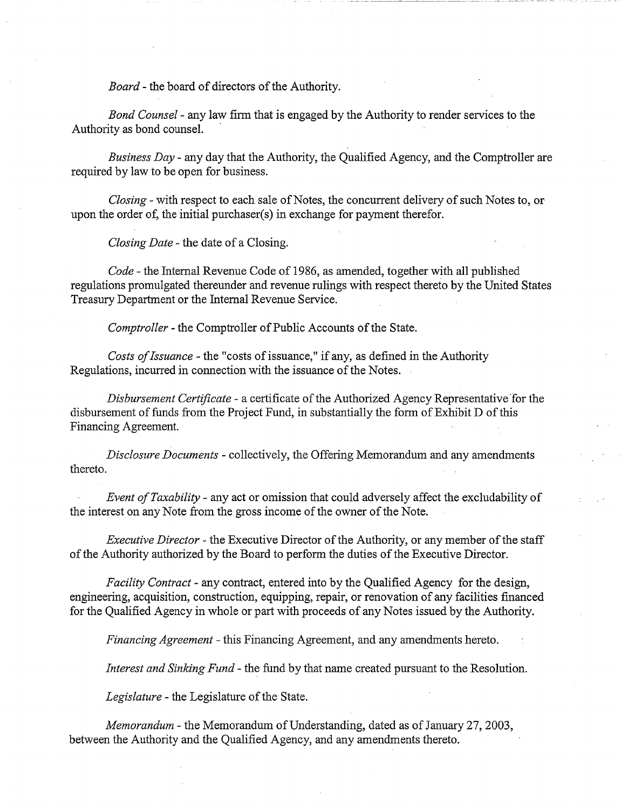*Board-* the board of directors of the Authority.

*Bond Counsel* - any law firm that is engaged by the Authority to render services to the Authority as bond counsel.

*Business Day* - any day that the Authority, the Qualified Agency, and the Comptroller are required by law to be open for business.

*Closing-* with respect to each sale of Notes, the concurrent delivery of such Notes to, or upon the order of, the initial purchaser(s) in exchange for payment therefor.

*Closing Date* - the date of a Closing.

*Code-* the Internal Revenue Code of 1986, as amended, together with all published regulations promulgated thereunder and revenue rulings with respect thereto by the United States Treasury Department or the Internal Revenue Service.

*Comptroller-* the Comptroller of Public Accounts of the State.

*Costs of Issuance* - the "costs of issuance," if any, as defined in the Authority Regulations, incurred in connection with the issuance of the Notes.

*Disbursement Certificate* - a certificate of the Authorized Agency Representative "for the disbursement of funds from the Project Fund, in substantially the form of Exhibit D of this Financing Agreement.

*Disclosure Documents* - collectively, the Offering Memorandum and any amendments thereto.

*Event of Taxability-* any act or omission that could adversely affect the excludability of the interest on any Note from the gross income of the owner of the Note.

*Executive Director-* the Executive Director of the Authority, or any member of the staff of the Authority authorized by the Board to perform the duties of the Executive Director.

*Facility Contract-* any contract, entered into by the Qualified Agency for the design, engineering, acquisition, construction, equipping, repair, or renovation of any facilities financed for the Qualified Agency in whole or part with proceeds of any Notes issued by the Authority.

*Financing Agreement* - this Financing Agreement, and any amendments hereto.

*Interest and Sinking Fund-* the fund by that name created pursuant to the Resolution.

*Legislature-* the Legislature of the State.

*Memorandum* - the Memorandum of Understanding, dated as of January 27, 2003, between the Authority and the Qualified Agency, and any amendments thereto.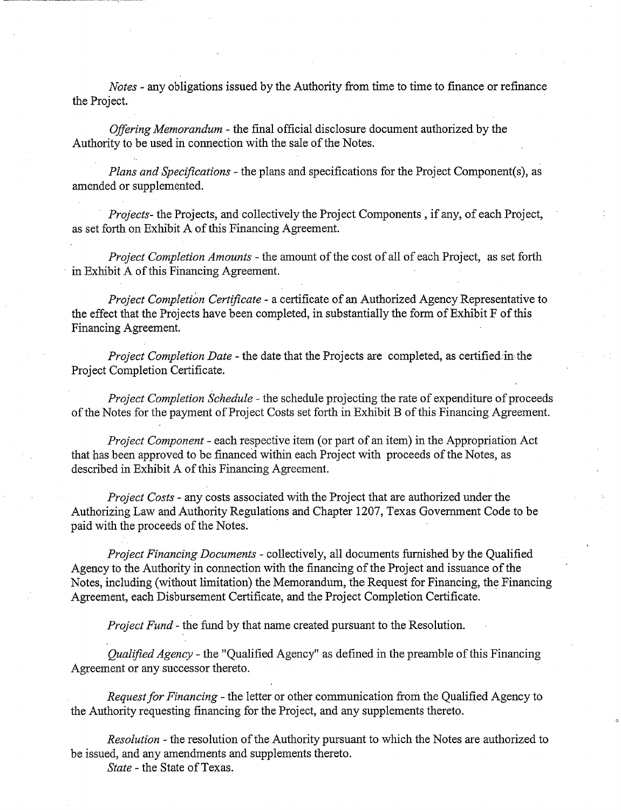*Notes* - any obligations issued by the Authority from time to time to finance or refinance the Project.

*Offering Memorandum* - the final official disclosure document authorized by the Authority to be used in connection with the sale of the Notes.

*Plans and Specifications-* the plans and specifications for the Project Component(s), as amended or supplemented.

*Projects-* the Projects, and collectively the Project Components, if any, of each Project, as set forth on Exhibit A of this Financing Agreement.

*Project Completion Amounts-* the amount of the cost of all of each Project, as set forth in Exhibit A of this Financing Agreement.

*Project Completion Certificate* - a certificate of an Authorized Agency Representative to the effect that the Projects have been completed, in substantially the form of Exhibit F of this Financing Agreement.

*Project Completion Date* - the date that the Projects are completed, as certified in the Project Completion Certificate.

*Project Completion Schedule-* the schedule projecting the rate of expenditure of proceeds of the Notes for the payment of Project Costs set forth in Exhibit B of this Financing Agreement.

*Project Component* - each respective item (or part of an item) in the Appropriation Act that has been approved to be financed within each Project with proceeds of the Notes, as described in Exhibit A of this Financing Agreement.

*Project Costs-* any costs associated with the Project that are authorized under the Authorizing Law and Authority Regulations and Chapter 1207, Texas Government Code to be paid with the proceeds of the Notes.

*Project Financing Documents* - collectively, all documents furnished by the Qualified Agency to the Authority in connection with the financing of the Project and issuance of the Notes, including (without limitation) the Memorandum, the Request for Financing, the Financing Agreement, each Disbursement Certificate, and the Project Completion Certificate.

*Project Fund-* the fund by that name created pursuant to the Resolution.

*Qualified Agency-* the "Qualified Agency" as defined in the preamble of this Financing Agreement or any successor thereto.

*Request for Financing* - the letter or other communication from the Qualified Agency to the Authority requesting financing for the Project, and any supplements thereto.

*Resolution* -the resolution of the Authority pursuant to which the Notes are authorized to be issued, and any amendments and supplements thereto.

*State-* the State ofTexas.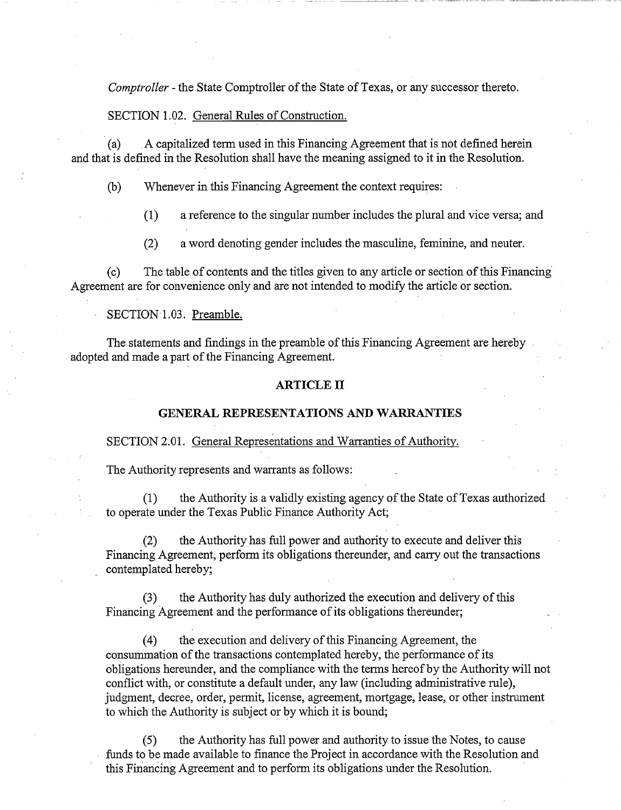*Comptroller-* the State Comptroller of the State of Texas, or any successor thereto.

# SECTION 1.02. General Rules of Construction.

(a) A capitalized term used in this Financing Agreement that is not defined herein and that is defined in the Resolution shall have the meaning assigned to it **in** the Resolution.

(b) Whenever in this Financing Agreement the context requires:

(1) a reference to the singular number includes the plural and vice versa; and

(2) a word denoting gender includes the masculine, feminine, and neuter.

(c) The table of contents and the titles given to any article or section of this Financing' Agreement are for convenience only and are not intended to modify the article or section.

#### SECTION 1.03. Preamble.

The statements and findings in the preamble of this Financing Agreement are hereby adopted and made a part of the Financing Agreement.

#### **ARTICLE II**

#### **GENERAL REPRESENTATIONS AND WARRANTIES**

#### SECTION 2.01. General Representations and Warranties of Authority.

The Authority represents and warrants as follows:

(1) the Authority is a validly existing agency of the State of Texas authorized to operate under the Texas Public Finance Authority Act;

(2) the Authority has full power and authority to execute and deliver this Financing Agreement, perform its obligations thereunder, and carry out the transactions contemplated hereby;

(3) the Authority has duly authorized the execution and delivery of this Financing Agreement and the performance of its obligations thereunder;

(4) the execution and delivery of this Financing Agreement, the consummation of the transactions contemplated hereby, the performance of its obiigations hereunder, and the compliance with the terms hereof by the Authority will not conflict with, or constitute a default under, any law (including administrative rule), judgment, decree, order, permit, license, agreement, mortgage, lease, or other instrument to which the Authority is subject or by which it is bound;

(5) the Authority has full power and authority to issue the Notes, to cause funds to be made available to finance the Project in accordance with the Resolution and this Financing Agreement and to perform its obligations under the Resolution.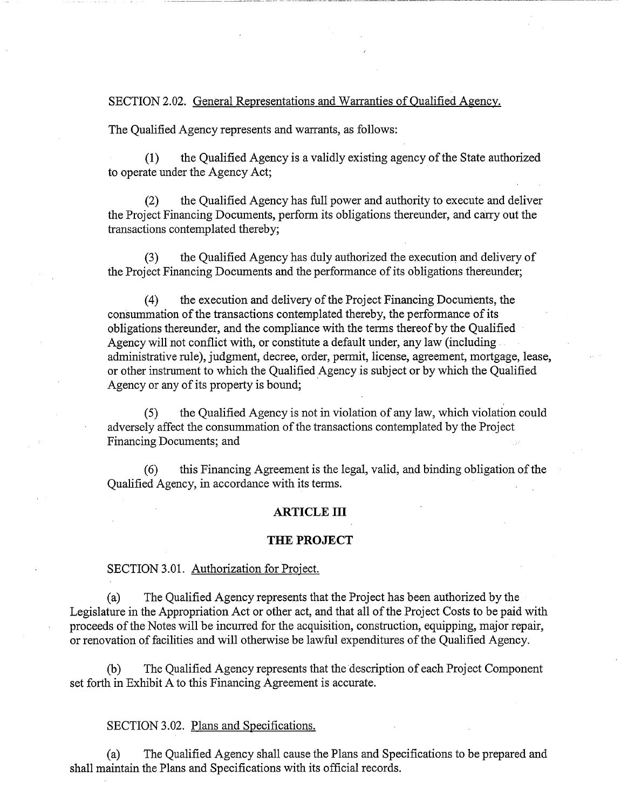## SECTION 2.02. General Representations and Warranties of Qualified Agency.

The Qualified Agency represents and warrants, as follows:

 $(1)$  the Qualified Agency is a validly existing agency of the State authorized to operate under the Agency Act;

----~---~-~--~------------~-----·-------------------------~-"--------------------------

(2) the Qualified Agency has full power and authority to execute and deliver the Project Financing Documents, perform its obligations thereunder, and carry out the transactions contemplated thereby;

(3) the Qualified Agency has duly authorized the execution and delivery of the Project Financing Documents and the performance of its obligations thereunder;

(4) the execution and delivery of the Project Financing Documents, the consummation of the transactions contemplated thereby, the performance of its obligations thereunder, and the compliance with the terms thereof by the Qualified Agency will not conflict with, or constitute a default under, any law (including administrative rule), judgment, decree, order, permit, license, agreement, mortgage, lease, or other instrument to which the Qualified Agency is subject or by which the Qualified Agency or any of its property is bound;

(5) the Qualified Agency is not in violation of any law, which violation could adversely affect the consummation of the transactions contemplated by the Project Financing Documents; and

(6) this Financing Agreement is the legal, valid, and binding obligation of the Qualified Agency, in accordance with its terms.

#### **ARTICLE III**

#### **THE PROJECT**

# SECTION 3.01. Authorization for Project.

(a) The Qualified Agency represents that the Project has been authorized by the Legislature in the Appropriation Act or other act, and that all of the Project Costs to be paid with proceeds of the Notes will be incurred for the acquisition, construction, equipping, major repair, or renovation of facilities and will otherwise be lawful expenditures of the Qualified Agency.

(b) The Qualified Agency represents that the description of each Project Component set forth in Exhibit A to this Financing Agreement is accurate.

# SECTION 3.02. Plans and Specifications.

(a) The Qualified Agency shall cause the Plans and Specifications to be prepared and shall maintain the Plans and Specifications with its official records.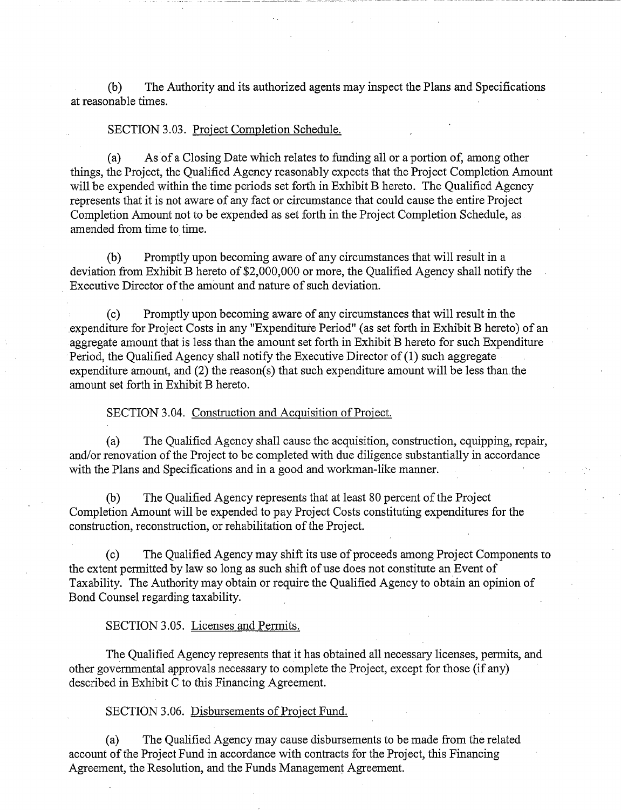(b) The Authority and its authorized agents may inspect the Plans and Specifications at reasonable times.

### SECTION 3.03. Project Completion Schedule.

(a) As of a Closing Date which relates to funding all or a portion of, among other things, the Project, the Qualified Agency reasonably expects that the Project Completion Amount will be expended within the time periods set forth in Exhibit B hereto. The Qualified Agency represents that it is not aware of any fact or circumstance that could cause the entire Project Completion Amount not to be expended as set forth in the Project Completion Schedule, as amended from time to time.

(b) Promptly upon becoming aware of any circumstances that will result in a deviation from Exhibit B hereto of \$2,000,000 or more, the Qualified Agency shall notify the Executive Director of the amount and nature of such deviation.

(c) Promptly upon becoming aware of any circumstances that will result in the expenditure for Project Costs in any "Expenditure Period" (as set forth in Exhibit B hereto) of an aggregate amount that is less than the amount set forth in Exhibit B hereto for such Expenditure Period, the Qualified Agency shall notify the Executive Director of (1) such aggregate expenditure amount, and (2) the reason(s) that such expenditure amount will be less than. the amount set forth in Exhibit B hereto.

SECTION 3.04. Construction and Acquisition of Project.

(a) The Qualified Agency shall cause the acquisition, construction, equipping, repair, and/or renovation of the Project to be completed with due diligence substantially in accordance with the Plans and Specifications and in a good and workman-like manner.

(b) The Qualified Agency represents that at least 80 percent of the Project Completion Amount will be expended to pay Project Costs constituting expenditures for the construction, reconstruction, or rehabilitation of the Project.

(c) The Qualified Agency may shift its use of proceeds among Project Components to the extent permitted by law so long as such shift of use does not constitute an Event of Taxability. The Authority may obtain or require the Qualified Agency to obtain an opinion of Bond Counsel regarding taxability.

#### SECTION 3.05. Licenses and Permits.

The Qualified Agency represents that it has obtained all necessary licenses, permits, and other governmental approvals necessary to complete the Project, except for those (if any) described in Exhibit C to this Financing Agreement.

## SECTION 3.06. Disbursements of Project Fund.

(a) The Qualified Agency may cause disbursements to be made from the related account of the Project Fund in accordance with contracts for the Project, this Financing Agreement, the Resolution, and the Funds Management Agreement.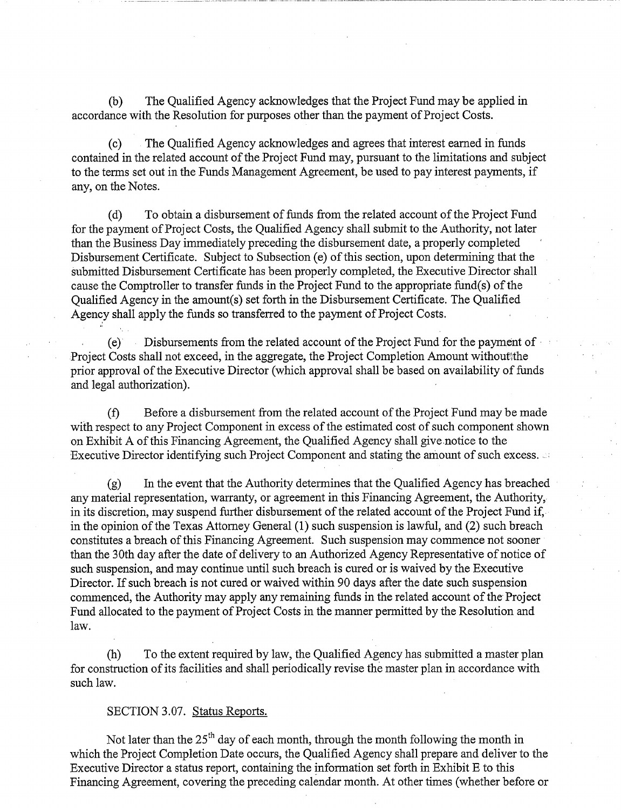(b) The Qualified Agency acknowledges that the Project Fund may be applied in accordance with the Resolution for purposes other than the payment of Project Costs.

--·---------···----·----·--- ---- ------·---~-----------~~~~-------------------- --- ----·-·-· ·-----

(c) The Qualified Agency acknowledges and agrees that interest earned in funds contained in the related account of the Project Fund may, pursuant to the limitations and subject to the terms set out in the Funds Management Agreement, be used to pay interest payments, if any, on the Notes.

(d) To obtain a disbursement of funds from the related account of the Project Fund for the payment of Project Costs, the Qualified Agency shall submit to the Authority, not later than the Business Day immediately preceding the disbursement date, a properly completed Disbursement Certificate. Subject to Subsection (e) of this section, upon determining that the submitted Disbursement Certificate has been properly completed, the Executive Director shall cause the Comptroller to transfer funds in the Project Fund to the appropriate fund( s) of the Qualified Agency in the amount(s) set forth in the Disbursement Certificate. The Qualified Agency shall apply the funds so transferred to the payment of Project Costs.

(e) Disbursements from the related account of the Project Fund for the payment of· Project Costs shall not exceed, in the aggregate, the Project Completion Amount without the prior approval of the Executive Director (which approval shall be based on availability of funds and legal authorization).

(f) Before a disbursement from the related account of the Project Fund may be made with respect to any Project Component in excess of the estimated cost of such component shown on Exhibit A of this Financing Agreement, the Qualified Agency shall give.notice to the Executive Director identifying such Project Component and stating the amount of such excess.

 $(g)$  In the event that the Authority determines that the Qualified Agency has breached any material representation, warranty, or agreement in this Financing Agreement, the Authority, in its discretion, may suspend further disbursement of the related account of the Project Fund if, in the opinion of the Texas Attorney General (1) such suspension is lawful, and (2) such breach constitutes a breach of this Financing Agreement. Such suspension may commence not sooner than the 30th day after the date of delivery to an Authorized Agency Representative of notice of such suspension, and may continue until such breach is cured or is waived by the Executive Director. If such breach is not cured or waived within 90 days after the date such suspension commenced, the Authority may apply any remaining funds in the related account of the Project Fund allocated to the payment of Project Costs in the manner permitted by the Resolution and law.

(h) To the extent required by law, the Qualified Agency has submitted a master plan for construction of its facilities and shall periodically revise the master plan in accordance with such law.

## SECTION 3.07. Status Reports.

Not later than the  $25<sup>th</sup>$  day of each month, through the month following the month in which the Project Completion Date occurs, the Qualified Agency shall prepare and deliver to the Executive Director a status report, containing the information set forth in Exhibit E to this Financing Agreement, covering the preceding calendar month. At other times (whether before or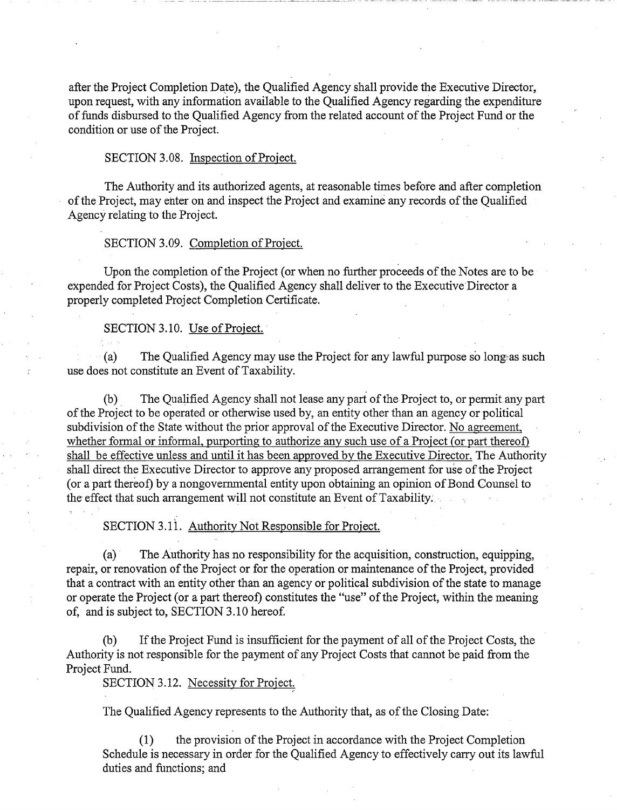after the Project Completion Date), the Qualified Agency shall provide the Executive Director, upon request, with any information available to the Qualified Agency regarding the expenditure of funds disbursed to the Qualified Agency from the related account of the Project Fund or the condition or use of the Project.

# SECTION 3.08. Inspection of Project.

The Authority and its authorized agents, at reasonable times before and after completion of the Project, may enter on and inspect the Project and examine any records ofthe Qualified Agency relating to the Project.

#### SECTION 3.09. Completion of Project.

Upon the completion of the Project (or when no further proceeds of the Notes are to be expended for Project Costs), the Qualified Agency shall deliver to the Executive Director a properly completed Project Completion Certificate.

#### SECTION 3.10. Use of Project.

(a) The Qualified Agency may use the Project for any lawful purpose so long as such use does not constitute an Event of Taxability.

(b) . The Qualified Agency shall not lease any part of the Project to, or permit any part of the Project to be operated or otherwise used by, an entity other than an agency or political subdivision of the State without the prior approval of the Executive Director. No agreement, whether formal or informal, purporting to authorize any such use of a Project (or part thereof) shall be effective unless and until it has been approved by the Executive Director. The Authority shall direct the Executive Director to approve any proposed arrangement for use of the Project (or a part thereof) by a nongovernmental entity upon obtaining an opinion of Bond Counsel to the effect that such arrangement will not constitute an Event of Taxability:.

SECTION 3.11. Authority Not Responsible for Project.

(a) The Authority has no responsibility for the acquisition, construction, equipping, repair, or renovation of the Project or for the operation or maintenance of the Project, provided that a contract with an entity other than an agency or political subdivision of the state to manage or operate the Project (or a part thereof) constitutes the "use" of the Project, within the meaning of, and is subject to, SECTION 3.10 hereof.

(b) If the Project Fund is insufficient for the payment of all of the Project Costs, the Authority is not responsible for the payment of any Project Costs that cannot be paid from the Project Fund.

SECTION 3.12. Necessity for Project.

The Qualified Agency represents to the Authority that, as of the Closing Date:

(1) the provision of the Project in accordance with the Project Completion Schedule is necessary in order for the Qualified Agency to effectively carry out its lawful duties and functions; and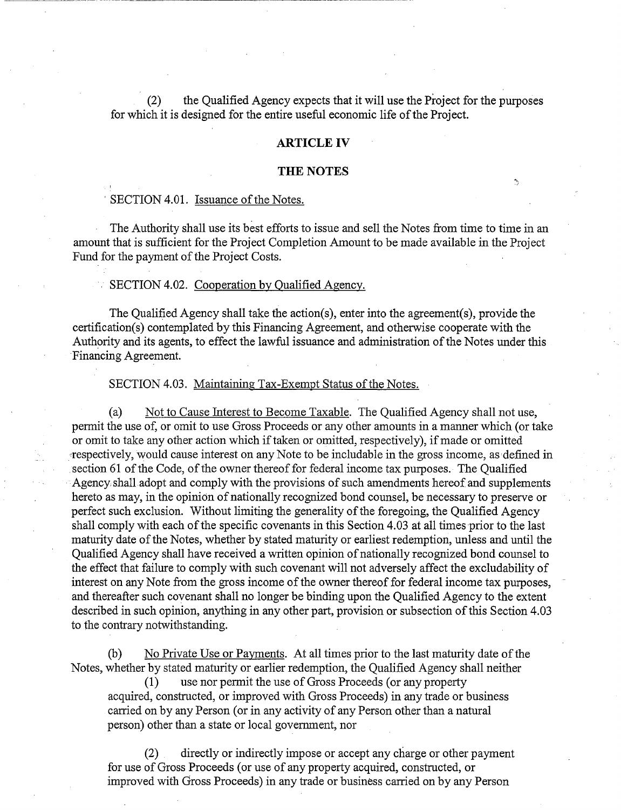(2) the Qualified Agency expects that it will use the Project for the purposes for which it is designed for the entire useful economic life of the Project.

 $\mathcal{D}$ 

#### **ARTICLE IV**

#### **THE NOTES**

### SECTION 4.01. Issuance of the Notes.

~~---~--------~--· ---- --~--~-~~~~~- ~~~-------------------- ----

The Authority shall use its best efforts to issue and sell the Notes from time to time in an amount that is sufficient for the Project Completion Amount to be made available in the Project Fund for the payment of the Project Costs.

### SECTION 4.02. Cooperation by Qualified Agency.

The Qualified Agency shall take the action(s), enter into the agreement(s), provide the certification(s) contemplated by this Financing Agreement, and otherwise cooperate with the Authority and its agents, to effect the lawful issuance and administration of the Notes under this Financing Agreement.

#### SECTION 4.03. Maintaining Tax-Exempt Status of the Notes.

(a) Not to Cause Interest to Become Taxable. The Qualified Agency shall not use, permit the use of, or omit to use Gross Proceeds or any other amounts in a manner which (or take or omit to take any other action which if taken or omitted, respectively), if made or omitted respectively, would cause interest on any Note to be includable in the gross income, as defined in . section 61 of the Code, of the owner thereof for federal income tax purposes. The Qualified Agency shall adopt and comply with the provisions of such amendments hereof and supplements hereto as may, in the opinion of nationally recognized bond counsel, be necessary to preserve or perfect such exclusion. Without limiting the generality of the foregoing, the Qualified Agency shall comply with each of the specific covenants in this Section 4.03 at all times prior to the last maturity date of the Notes, whether by stated maturity or earliest redemption, unless and until the Qualified Agency shall have received a written opinion of nationally recognized bond counsel to the effect that failure to comply with such covenant will not adversely affect the excludability of interest on any Note from the gross income of the owner thereof for federal income tax purposes, and thereafter such covenant shall no longer be binding upon the Qualified Agency to the extent described in such opinion, anything in any other part, provision or subsection of this Section 4.03 to the contrary notwithstanding.

(b) No Private Use or Payments. At all times prior to the last maturity date of the Notes, whether by stated maturity or earlier redemption, the Qualified Agency shall neither

(1) use nor permit the use of Gross Proceeds (or any property acquired, constructed, or improved with Gross Proceeds) in any trade or business carried on by any Person (or in any activity of any Person other than a natural person) other than a state or local government, nor

(2) directly or indirectly impose or accept any charge or other payment for use of Gross Proceeds (or use of any property acquired, constructed, or improved with Gross Proceeds) in any trade or business carried on by any Person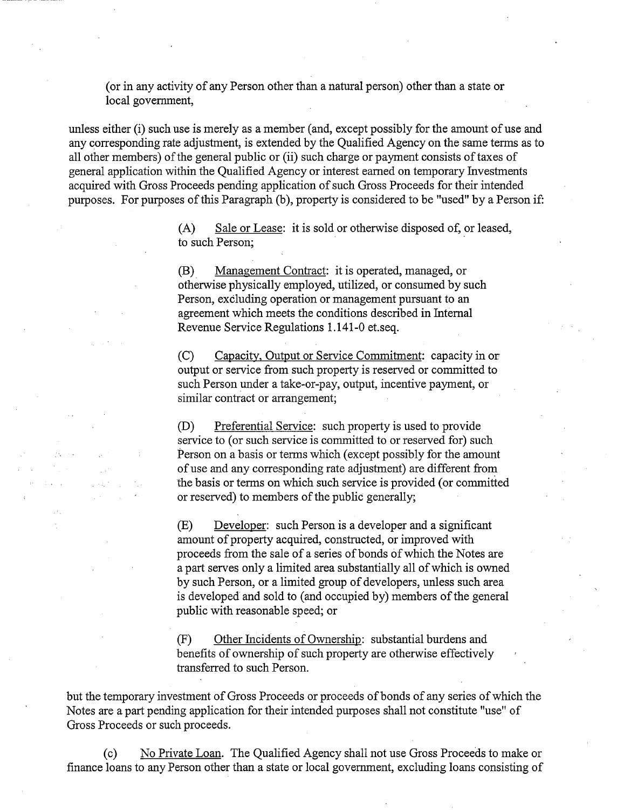(or in any activity of any Person other than a natural person) other than a state or local government,

unless either (i) such use is merely as a member (and, except possibly for the amount of use and any corresponding rate adjustment, is extended by the Qualified Agency on the same terms as to all other members) of the general public or (ii) such charge or payment consists of taxes of general application within the Qualified Agency or interest earned on temporary Investments acquired with Gross Proceeds pending application of such Gross Proceeds for their intended purposes. For purposes of this Paragraph (b), property is considered to be "used" by a Person if:

> (A) Sale or Lease: it is sold or otherwise disposed of, or leased, to such Person;

(B). Management Contract: it is operated, managed, or otherwise physically employed, utilized, or consumed by such Person, excluding operation or management pursuant to an agreement which meets the conditions described in Internal Revenue Service Regulations 1.141-0 et.seq.

(C) Capacity, Output or Service Commitment: capacity in or output or service from such property is reserved or committed to such Person under a take-or-pay, output, incentive payment, or similar contract or arrangement;

(D) Preferential Service: such property is used to provide service to (or such service is committed to or reserved for) such Person on a basis or terms which (except possibly for the amount of use and any corresponding rate adjustment) are different from the basis or terms on which such service is provided (or committed or reserved) to members of the public generally;

(E) Developer: such Person is a developer and a significant amount of property acquired, constructed, or improved with proceeds from the sale of a series of bonds of which the Notes are a part serves only a limited area substantially all of which is owned by such Person, or a limited group of developers, unless such area is developed and sold to (and occupied by) members of the general public with reasonable speed; or

(F) Other Incidents of Ownership: substantial burdens and benefits of ownership of such property are otherwise effectively transferred to such Person.

but the temporary investment of Gross Proceeds or proceeds of bonds of any series of which the Notes are a part pending application for their intended purposes shall not constitute "use" of Gross Proceeds or such proceeds.

 $\pm 1$  .

(c) No Private Loan. The Qualified Agency shall not use Gross Proceeds to make or finance loans to any Person other than a state or local government, excluding loans consisting of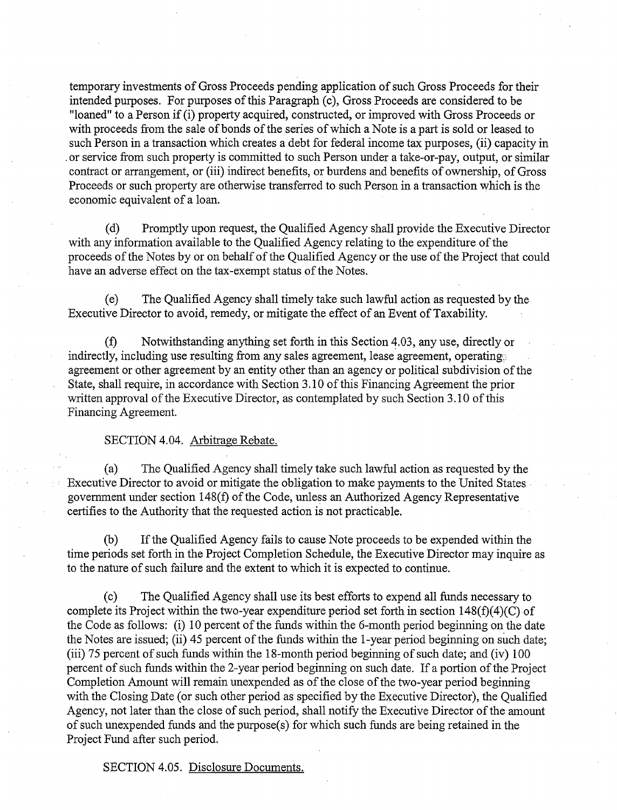temporary investments of Gross Proceeds pending application of such Gross Proceeds for their intended purposes. For purposes of this Paragraph (c), Gross Proceeds are considered to be "loaned" to a Person if (i) property acquired, constructed, or improved with Gross Proceeds or with proceeds from the sale of bonds of the series of which a Note is a part is sold or leased to such Person in a transaction which creates a debt for federal income tax purposes, (ii) capacity in . or service from such property is committed to such Person under a take-or-pay, output, or similar contract or arrangement, or (iii) indirect benefits, or burdens and benefits of ownership, of Gross Proceeds or such property are otherwise transferred to such Person in a transaction which is the economic equivalent of a loan.

(d) Promptly upon request, the Qualified Agency shall provide the Executive Director with any information available to the Qualified Agency relating to the expenditure of the proceeds of the Notes by or on behalf of the Qualified Agency or the use of the Project that could have an adverse effect on the tax-exempt status of the Notes.

(e) The Qualified Agency shall timely take such lawful action as requested by the Executive Director to avoid, remedy, or mitigate the effect of an Event of Taxability.

(f) Notwithstanding anything set forth in this Section 4.03, any use, directly or indirectly, including use resulting from any sales agreement, lease agreement, operating agreement or other agreement by an entity other than an agency or political subdivision of the State, shall require, in accordance with Section 3.10 of this Financing Agreement the prior written approval of the Executive Director, as contemplated by such Section 3.10 of this Financing Agreement.

## SECTION 4.04. Arbitrage Rebate.

(a) The Qualified Agency shall timely take such lawful action as requested by the Executive Director to avoid or mitigate the obligation to make payments to the United States government under section 148(f) of the Code, unless an Authorized Agency Representative certifies to the Authority that the requested action is not practicable.

(b) If the Qualified Agency fails to cause Note proceeds to be expended within the time periods set forth in the Project Completion Schedule, the Executive Director may inquire as to the nature of such failure and the extent to which it is expected to continue.

(c) The Qualified Agency shall use its best efforts to expend all funds necessary to complete its Project within the two-year expenditure period set forth in section  $148(f)(4)(C)$  of the Code as follows: (i) 10 percent of the funds within the 6-month period beginning on the date the Notes are issued; (ii) 45 percent of the funds within the 1-year period beginning on such date; (iii) 75 percent of such funds within the 18-month period beginning of such date; and (iv) 100 percent of such funds within the 2-year period beginning on such date. If a portion of the Project Completion Amount will remain unexpended as of the close of the two-year period beginning with the Closing Date (or such other period as specified by the Executive Director), the Qualified Agency, not later than the close of such period, shall notify the Executive Director of the amount of such unexpended funds and the purpose( s) for which such funds are being retained in the Project Fund after such period.

SECTION 4.05. Disclosure Documents.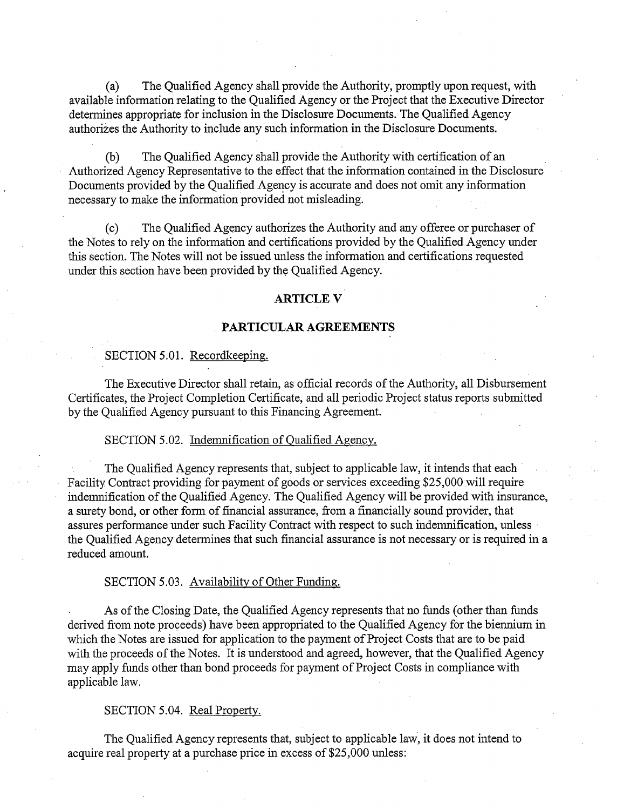(a) The Qualified Agency shall provide the Authority, promptly upon request, with available information relating to the Qualified Agency or the Project that the Executive Director determines appropriate for inclusion in the Disclosure Documents. The Qualified Agency authorizes the Authority to include any such information in the Disclosure Documents.

(b) The Qualified Agency shall provide the Authority with certification of an Authorized Agency Representative to the effect that the information contained in the Disclosure Documents provided by the Qualified Agency is accurate and does not omit any information necessary to make the information provided not misleading.

(c) The Qualified Agency authorizes the Authority and any offeree or purchaser of the Notes to rely on the information and certifications provided by the Qualified Agency under this section. The Notes will not be issued unless the information and certifications requested under this section have been provided by the Qualified Agency.

#### **ARTICLEV**

### . **PARTICULAR AGREEMENTS**

# SECTION 5.01. Recordkeeping.

The Executive Director shall retain, as official records of the Authority, all Disbursement Certificates, the Project Completion Certificate, and all periodic Project status reports submitted by the Qualified Agency pursuant to this Financing Agreement.

# SECTION 5.02. Indemnification of Qualified Agency.

The Qualified Agency represents that, subject to applicable law, it intends that each Facility Contract providing for payment of goods or services exceeding\$25,000 will require indemnification of the Qualified Agency. The Qualified Agency will be provided with insurance, a surety bond, or other form of financial assurance, from a financially sound provider, that assures performance under such Facility Contract with respect to such indemnification, unless the Qualified Agency determines that such financial assurance is not necessary or is required in a reduced amount.

#### SECTION 5.03. Availability of Other Funding.

As of the Closing Date, the Qualified Agency represents that no funds (other than funds derived from note proceeds) have been appropriated to the Qualified Agency for the biennium in which the Notes are issued for application to the payment of Project Costs that are to be paid with the proceeds of the Notes. It is understood and agreed, however, that the Qualified Agency may apply funds other than bond proceeds for payment of Project Costs in compliance with applicable law.

## SECTION 5.04. Real Property.

The Qualified Agency represents that, subject to applicable law, it does not intend to acquire real property at a purchase price in excess of \$25,000 unless: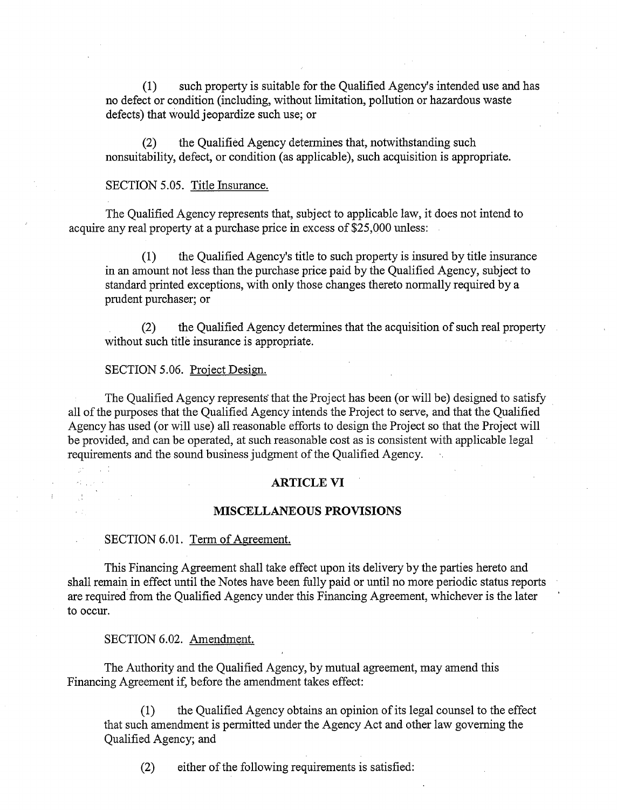(1) such property is suitable for the Qualified Agency's intended use and has no defect or condition (including, without limitation, pollution or hazardous waste defects) that would jeopardize such use; or

(2) the Qualified Agency determines that, notwithstanding such nonsuitability, defect, or condition (as applicable), such acquisition is appropriate.

## SECTION 5.05. Title Insurance.

The Qualified Agency represents that, subject to applicable law, it does not intend to acquire any real property at a purchase price in excess of \$25,000 unless:

(1) the Qualified Agency's title to such property is insured by title insurance in an amount not less than the purchase price paid by the Qualified Agency, subject to standard printed exceptions, with only those changes thereto normally required by a prudent purchaser; or

(2) the Qualified Agency determines that the acquisition of such real property without such title insurance is appropriate.

## SECTION 5.06. Proiect Design.

The Qualified Agency represents that the Project has been (or will be) designed to satisfy all of the purposes that the Qualified Agency intends the Project to serve, and that the Qualified Agency has used (or will use) all reasonable efforts to design the Project so that the Project will be provided, and can be operated, at such reasonable cost as is consistent with applicable legal requirements and the sound business judgment of the Qualified Agency.

#### **ARTICLE VI**

#### **MISCELLANEOUS PROVISIONS**

## SECTION 6.01. Term of Agreement.

This Financing Agreement shall take effect upon its delivery by the parties hereto and shall remain in effect until the Notes have been fully paid or until no more periodic status reports are required from the Qualified Agency under this Financing Agreement, whichever is the later to occur.

SECTION 6.02. Amendment.

The Authority and the Qualified Agency, by mutual agreement, may amend this Financing Agreement if, before the amendment takes effect:

(1) the Qualified Agency obtains an opinion of its legal counsel to the effect that such amendment is permitted under the Agency Act and other law governing the Qualified Agency; and

(2) either of the following requirements is satisfied: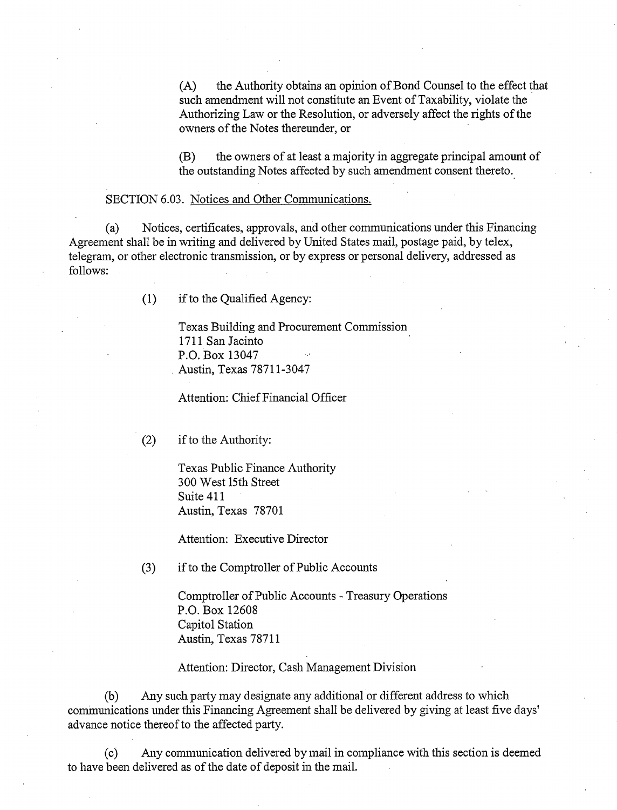(A) the Authority obtains an opinion of Bond Counsel to the effect that such amendment will not constitute an Event of Taxability, violate the Authorizing Law or the Resolution, or adversely affect the rights of the owners of the Notes thereunder, or

(B) the owners of at least a majority in aggregate principal amount of the outstanding Notes affected by such amendment consent thereto.

#### SECTION 6.03. Notices and Other Communications.

(a) Notices, certificates, approvals, and other communications under this Financing Agreement shall be in writing and delivered by United States mail, postage paid, by telex, telegram, or other electronic transmission, or by express or personal delivery, addressed as follows:

(1) if to the Qualified Agency:

Texas Building and Procurement Commission 1711 San Jacinto P.O. Box 13047 Austin, Texas 78711-3047

Attention: Chief Financial Officer

 $(2)$  if to the Authority:

Texas Public Finance Authority 300 West 15th Street Suite 411 Austin, Texas 78701

Attention: Executive Director

(3) if to the Comptroller of Public Accounts

Comptroller of Public Accounts - Treasury Operations P.O. Box 12608 Capitol Station Austin, Texas 78711

Attention: Director, Cash Management Division

(b) Any such party may designate any additional or different address to which cominunications under this Financing Agreement shall be delivered by giving at least five days' advance notice thereof to the affected party.

(c) Any communication delivered by mail in compliance with this section is deemed to have been delivered as of the date of deposit in the mail.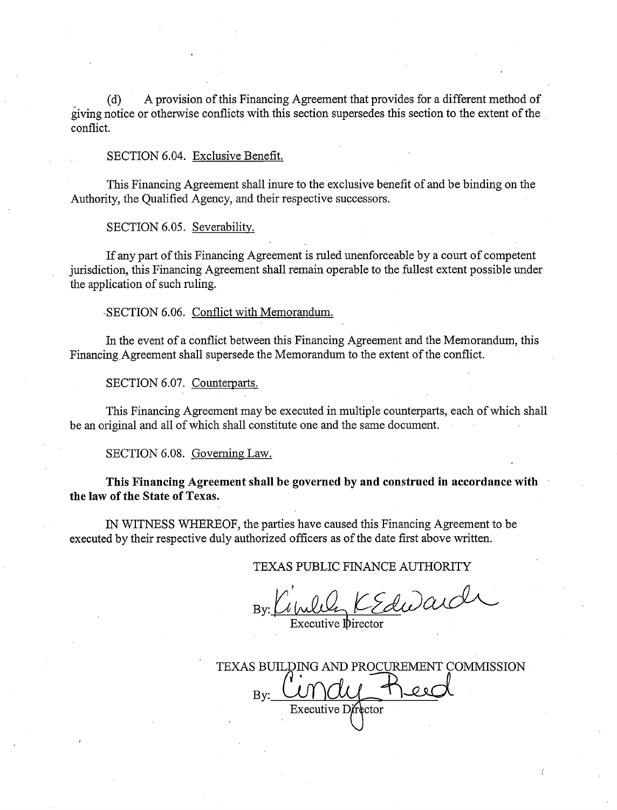(d) A provision of this Financing Agreement that provides for a different method of giving notice or otherwise conflicts with this section supersedes this section to the extent of the . conflict.

SECTION 6.04. Exclusive Benefit.

This Financing Agreement shall inure to the exclusive benefit of and be binding on the Authority, the Qualified Agency, and their respective successors.

SECTION 6.05. Severability.

If any part of this Financing Agreement is ruled unenforceable by a court of competent jurisdiction, this Financing Agreement shall remain operable to the fullest extent possible under the application of such ruling.

-SECTION 6.06. Conflict with Memorandum.

In the event of a conflict between this Financing Agreement and the Memorandum, this Financing.Agreement shall supersede the Memorandum to the extent of the conflict.

SECTION 6.07. Counterparts.

This Financing Agreement may be executed in multiple counterparts, each of which shall be an original and all of which shall constitute one and the same document.

SECTION 6.08. Governing Law.

**This Financing Agreement shall be governed by and construed in accordance with the law of the State of Texas.** 

IN WITNESS WHEREOF, the parties have caused this Financing Agreement to be executed by their respective duly authorized officers as of the date first above written.

TEXAS PUBLIC FINANCE AUTHORITY

Edward

Executive Director

TEXAS BUILDING AND PROCUREMENT COMMISSION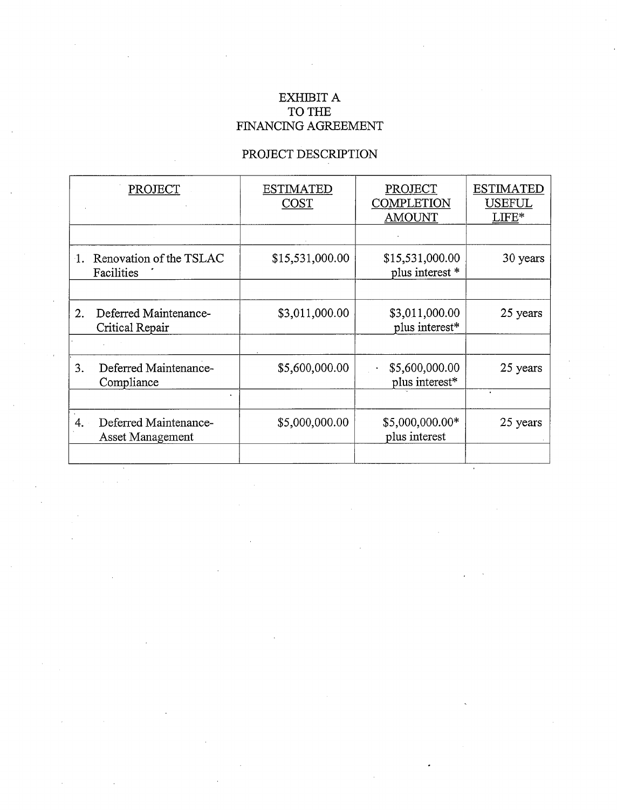# EXHIBIT A TO THE FINANCING AGREEMENT

# PROJECT DESCRIPTION

| PROJECT                                                | <b>ESTIMATED</b><br>COST | PROJECT<br><b>COMPLETION</b><br><b>AMOUNT</b> | ESTIMATED<br>USEFUL<br>${\rm LIFE^*}$ |
|--------------------------------------------------------|--------------------------|-----------------------------------------------|---------------------------------------|
|                                                        |                          |                                               |                                       |
| Renovation of the TSLAC<br>∙1.<br>Facilities           | \$15,531,000.00          | \$15,531,000.00<br>plus interest *            | 30 years                              |
|                                                        |                          |                                               |                                       |
| Deferred Maintenance-<br>2.<br>Critical Repair         | \$3,011,000.00           | \$3,011,000.00<br>plus interest*              | 25 years                              |
|                                                        |                          |                                               |                                       |
| Deferred Maintenance-<br>3.<br>Compliance              | \$5,600,000.00           | \$5,600,000.00<br>plus interest*              | 25 years                              |
|                                                        |                          |                                               |                                       |
| Deferred Maintenance-<br>4.<br><b>Asset Management</b> | \$5,000,000.00           | \$5,000,000.00*<br>plus interest              | 25 years                              |
|                                                        |                          |                                               |                                       |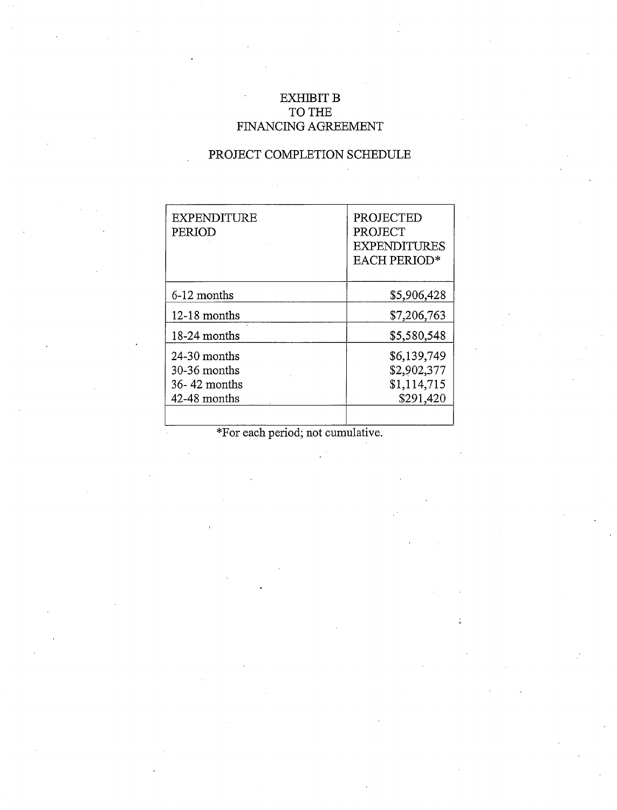# $EXHIBITB$ TO THE FINANCING AGREEMENT

# PROJECT COMPLETION SCHEDULE

| EXPENDITURE<br>PERIOD                                          | PROJECTED<br><b>PROJECT</b><br><b>EXPENDITURES</b><br><b>EACH PERIOD*</b> |
|----------------------------------------------------------------|---------------------------------------------------------------------------|
| 6-12 months                                                    | \$5,906,428                                                               |
| $12-18$ months                                                 | \$7,206,763                                                               |
| $18-24$ months                                                 | \$5,580,548                                                               |
| $24-30$ months<br>30-36 months<br>36-42 months<br>42-48 months | \$6,139,749<br>\$2,902,377<br>\$1,114,715<br>\$291,420                    |
|                                                                |                                                                           |

\*For each penod; not cumulative.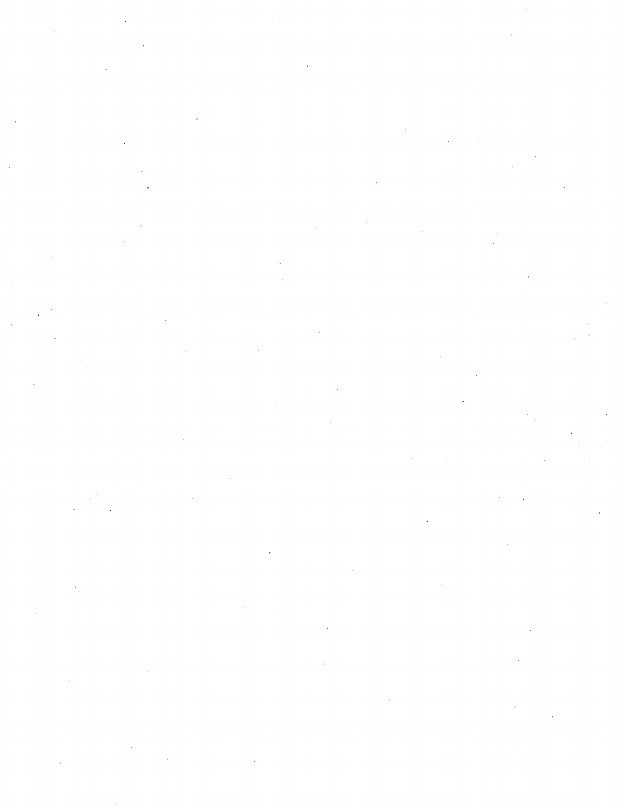$\label{eq:2.1} \frac{1}{\sqrt{2}}\int_{0}^{\infty}\frac{dx}{\sqrt{2\pi}}\,dx\leq \frac{1}{2}\int_{0}^{\infty}\frac{dx}{\sqrt{2\pi}}\,dx.$ 

 $\frac{1}{\sqrt{2}}\sum_{i=1}^{n} \frac{1}{\sqrt{2}}\left(\frac{1}{\sqrt{2}}\right)^2\left(\frac{1}{\sqrt{2}}\right)^2.$ 

 $\label{eq:2.1} \frac{1}{\sqrt{2\pi}}\sum_{i=1}^n\frac{1}{\sqrt{2\pi}}\sum_{i=1}^n\frac{1}{\sqrt{2\pi}}\sum_{i=1}^n\frac{1}{\sqrt{2\pi}}\sum_{i=1}^n\frac{1}{\sqrt{2\pi}}\sum_{i=1}^n\frac{1}{\sqrt{2\pi}}\sum_{i=1}^n\frac{1}{\sqrt{2\pi}}\sum_{i=1}^n\frac{1}{\sqrt{2\pi}}\sum_{i=1}^n\frac{1}{\sqrt{2\pi}}\sum_{i=1}^n\frac{1}{\sqrt{2\pi}}\sum_{i=1}^n\$  $\frac{1}{2} \sum_{i=1}^{n} \frac{1}{i} \sum_{j=1}^{n} \frac{1}{j} \sum_{j=1}^{n} \frac{1}{j} \sum_{j=1}^{n} \frac{1}{j} \sum_{j=1}^{n} \frac{1}{j} \sum_{j=1}^{n} \frac{1}{j} \sum_{j=1}^{n} \frac{1}{j} \sum_{j=1}^{n} \frac{1}{j} \sum_{j=1}^{n} \frac{1}{j} \sum_{j=1}^{n} \frac{1}{j} \sum_{j=1}^{n} \frac{1}{j} \sum_{j=1}^{n} \frac{1}{j} \sum_{j=1}^{n$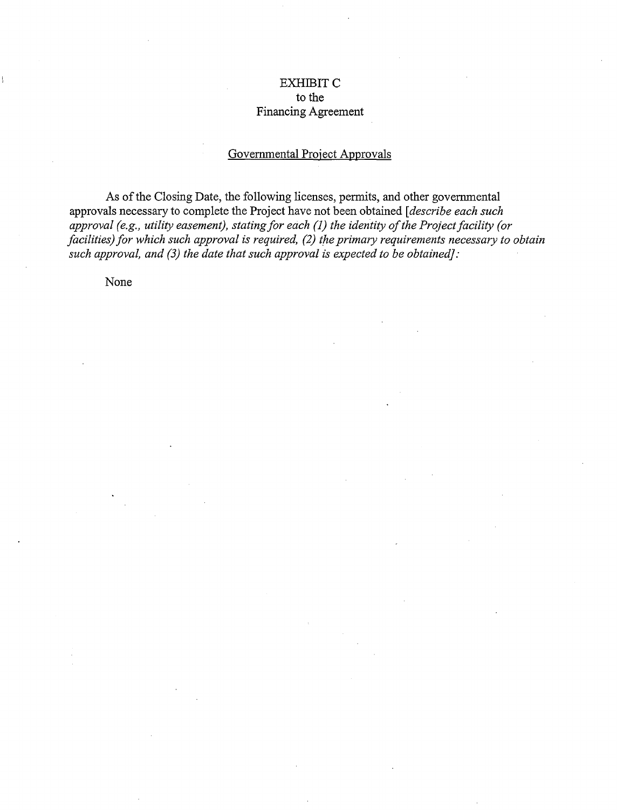# EXHIBIT C to the Financing Agreement

# Governmental Project Approvals

As of the Closing Date, the following licenses, permits, and other governmental approvals necessary to complete the Project have not been obtained *[describe each such approval (e.g., utility easement), statingfor each (1) the identity of the Project facility (or facilities) for which such approval is required, (2) the primary requirements necessary to obtain such approval, and (3) the date that such approval is expected to be obtained}:* 

None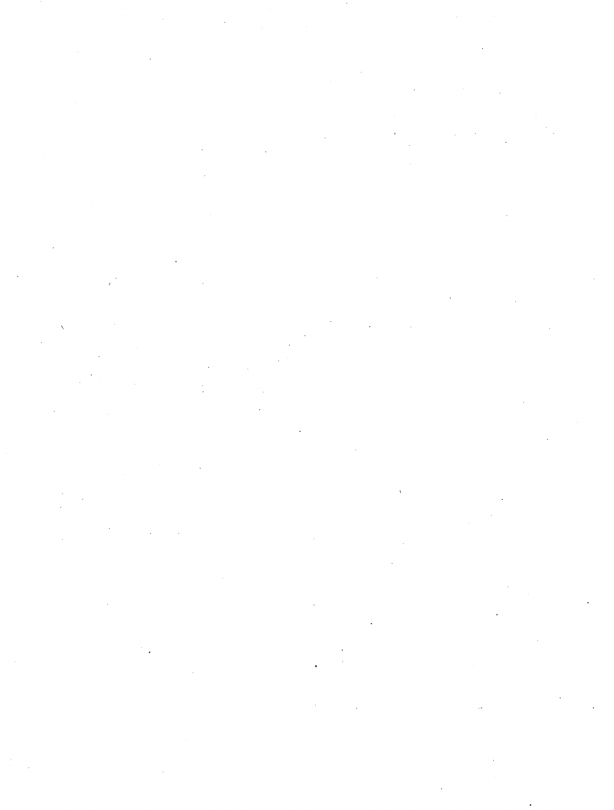$\label{eq:2.1} \mathcal{L}(\mathcal{L}) = \mathcal{L}(\mathcal{L}) \left( \mathcal{L}(\mathcal{L}) \right) \mathcal{L}(\mathcal{L}) \left( \mathcal{L}(\mathcal{L}) \right)$ 

 $\label{eq:2.1} \frac{1}{\sqrt{2}}\int_{\mathbb{R}^3}\frac{1}{\sqrt{2}}\left(\frac{1}{\sqrt{2}}\int_{\mathbb{R}^3}\frac{1}{\sqrt{2}}\left(\frac{1}{\sqrt{2}}\int_{\mathbb{R}^3}\frac{1}{\sqrt{2}}\right)\frac{1}{\sqrt{2}}\right)\frac{1}{\sqrt{2}}\,d\mu$ 

 $\label{eq:2.1} \frac{1}{\sqrt{2}}\left(\frac{1}{\sqrt{2}}\right)^{2} \left(\frac{1}{\sqrt{2}}\right)^{2} \left(\frac{1}{\sqrt{2}}\right)^{2} \left(\frac{1}{\sqrt{2}}\right)^{2} \left(\frac{1}{\sqrt{2}}\right)^{2} \left(\frac{1}{\sqrt{2}}\right)^{2} \left(\frac{1}{\sqrt{2}}\right)^{2} \left(\frac{1}{\sqrt{2}}\right)^{2} \left(\frac{1}{\sqrt{2}}\right)^{2} \left(\frac{1}{\sqrt{2}}\right)^{2} \left(\frac{1}{\sqrt{2}}\right)^{2} \left(\$ 

 $\mathcal{L}^{\mathcal{L}}(\mathcal{L}^{\mathcal{L}})$  and the contribution of the contribution of the contribution of the contribution of the contribution of the contribution of the contribution of the contribution of the contribution of the con

 $\label{eq:2.1} \frac{1}{\sqrt{2}}\int_{\mathbb{R}^3}\frac{1}{\sqrt{2}}\left(\frac{1}{\sqrt{2}}\right)^2\frac{1}{\sqrt{2}}\left(\frac{1}{\sqrt{2}}\right)^2\frac{1}{\sqrt{2}}\left(\frac{1}{\sqrt{2}}\right)^2.$  $\label{eq:2.1} \frac{1}{\sqrt{2}}\sum_{i=1}^n\frac{1}{\sqrt{2}}\sum_{i=1}^n\frac{1}{\sqrt{2}}\sum_{i=1}^n\frac{1}{\sqrt{2}}\sum_{i=1}^n\frac{1}{\sqrt{2}}\sum_{i=1}^n\frac{1}{\sqrt{2}}\sum_{i=1}^n\frac{1}{\sqrt{2}}\sum_{i=1}^n\frac{1}{\sqrt{2}}\sum_{i=1}^n\frac{1}{\sqrt{2}}\sum_{i=1}^n\frac{1}{\sqrt{2}}\sum_{i=1}^n\frac{1}{\sqrt{2}}\sum_{i=1}^n\frac$  $\label{eq:2.1} \frac{1}{\sqrt{2}}\int_{\mathbb{R}^3}\frac{1}{\sqrt{2}}\left(\frac{1}{\sqrt{2}}\right)^2\frac{1}{\sqrt{2}}\left(\frac{1}{\sqrt{2}}\right)^2\frac{1}{\sqrt{2}}\left(\frac{1}{\sqrt{2}}\right)^2\frac{1}{\sqrt{2}}\left(\frac{1}{\sqrt{2}}\right)^2.$  $\label{eq:2.1} \frac{1}{\sqrt{2\pi}}\int_{\mathbb{R}^3}\frac{1}{\sqrt{2\pi}}\left(\frac{1}{\sqrt{2\pi}}\int_{\mathbb{R}^3}\frac{1}{\sqrt{2\pi}}\int_{\mathbb{R}^3}\frac{1}{\sqrt{2\pi}}\frac{1}{\sqrt{2\pi}}\frac{1}{\sqrt{2\pi}}\frac{1}{\sqrt{2\pi}}\frac{1}{\sqrt{2\pi}}\frac{1}{\sqrt{2\pi}}\frac{1}{\sqrt{2\pi}}\frac{1}{\sqrt{2\pi}}\frac{1}{\sqrt{2\pi}}\frac{1}{\sqrt{2\pi}}\frac{1}{\sqrt{$  $\label{eq:1} \chi_{\rm{eff}} = \frac{1}{2} \sum_{\rm{eff}} \frac{1}{\sigma_{\rm{eff}}} \frac{1}{\sigma_{\rm{eff}}} \frac{1}{\sigma_{\rm{eff}}} \frac{1}{\sigma_{\rm{eff}}} \frac{1}{\sigma_{\rm{eff}}} \frac{1}{\sigma_{\rm{eff}}} \frac{1}{\sigma_{\rm{eff}}} \frac{1}{\sigma_{\rm{eff}}} \frac{1}{\sigma_{\rm{eff}}} \frac{1}{\sigma_{\rm{eff}}} \frac{1}{\sigma_{\rm{eff}}} \frac{1}{\sigma_{\rm{eff}}} \frac{1}{\sigma_{\rm{eff}}} \frac{1}{\sigma_{\rm{eff}}} \frac{1}{\sigma$  $\label{eq:2.1} \frac{d\mathbf{y}}{d\mathbf{x}} = \frac{d\mathbf{y}}{d\mathbf{x}} \mathbf{y} + \frac{d\mathbf{y}}{d\mathbf{x}} \mathbf{y} + \frac{d\mathbf{y}}{d\mathbf{x}} \mathbf{y} + \frac{d\mathbf{y}}{d\mathbf{x}} \mathbf{y} + \frac{d\mathbf{y}}{d\mathbf{x}} \mathbf{y} + \frac{d\mathbf{y}}{d\mathbf{x}} \mathbf{y} + \frac{d\mathbf{y}}{d\mathbf{x}} \mathbf{y} + \frac{d\mathbf{y}}{d\mathbf{x}} \mathbf{y} + \$ 

 $\label{eq:2.1} \frac{1}{\sqrt{2\pi}}\sum_{i=1}^n\frac{1}{\sqrt{2\pi}}\sum_{i=1}^n\frac{1}{\sqrt{2\pi}}\sum_{i=1}^n\frac{1}{\sqrt{2\pi}}\sum_{i=1}^n\frac{1}{\sqrt{2\pi}}\sum_{i=1}^n\frac{1}{\sqrt{2\pi}}\sum_{i=1}^n\frac{1}{\sqrt{2\pi}}\sum_{i=1}^n\frac{1}{\sqrt{2\pi}}\sum_{i=1}^n\frac{1}{\sqrt{2\pi}}\sum_{i=1}^n\frac{1}{\sqrt{2\pi}}\sum_{i=1}^n\$  $\label{eq:2.1} \frac{1}{\sqrt{2\pi}}\int_{0}^{\infty}\frac{1}{\sqrt{2\pi}}\left(\frac{1}{\sqrt{2\pi}}\right)^{2\pi} \frac{1}{\sqrt{2\pi}}\int_{0}^{\infty}\frac{1}{\sqrt{2\pi}}\left(\frac{1}{\sqrt{2\pi}}\right)^{2\pi} \frac{1}{\sqrt{2\pi}}\frac{1}{\sqrt{2\pi}}\int_{0}^{\infty}\frac{1}{\sqrt{2\pi}}\frac{1}{\sqrt{2\pi}}\frac{1}{\sqrt{2\pi}}\frac{1}{\sqrt{2\pi}}\frac{1}{\sqrt{2\pi}}\frac{1}{\sqrt{$  $\label{eq:2.1} \frac{1}{\sqrt{2}}\int_{\mathbb{R}^3} \frac{1}{\sqrt{2}}\left(\frac{1}{\sqrt{2}}\right)^2\left(\frac{1}{\sqrt{2}}\right)^2\left(\frac{1}{\sqrt{2}}\right)^2\left(\frac{1}{\sqrt{2}}\right)^2\left(\frac{1}{\sqrt{2}}\right)^2\left(\frac{1}{\sqrt{2}}\right)^2\left(\frac{1}{\sqrt{2}}\right)^2\left(\frac{1}{\sqrt{2}}\right)^2\left(\frac{1}{\sqrt{2}}\right)^2\left(\frac{1}{\sqrt{2}}\right)^2\left(\frac{1}{\sqrt{2}}\right)^2\left(\$ 

 $\label{eq:2.1} \frac{1}{\sqrt{2}}\left(\frac{1}{\sqrt{2}}\right)^{2} \left(\frac{1}{\sqrt{2}}\right)^{2} \left(\frac{1}{\sqrt{2}}\right)^{2} \left(\frac{1}{\sqrt{2}}\right)^{2} \left(\frac{1}{\sqrt{2}}\right)^{2} \left(\frac{1}{\sqrt{2}}\right)^{2} \left(\frac{1}{\sqrt{2}}\right)^{2} \left(\frac{1}{\sqrt{2}}\right)^{2} \left(\frac{1}{\sqrt{2}}\right)^{2} \left(\frac{1}{\sqrt{2}}\right)^{2} \left(\frac{1}{\sqrt{2}}\right)^{2} \left(\$ 

 $\mathcal{F}(\mathcal{F})$  .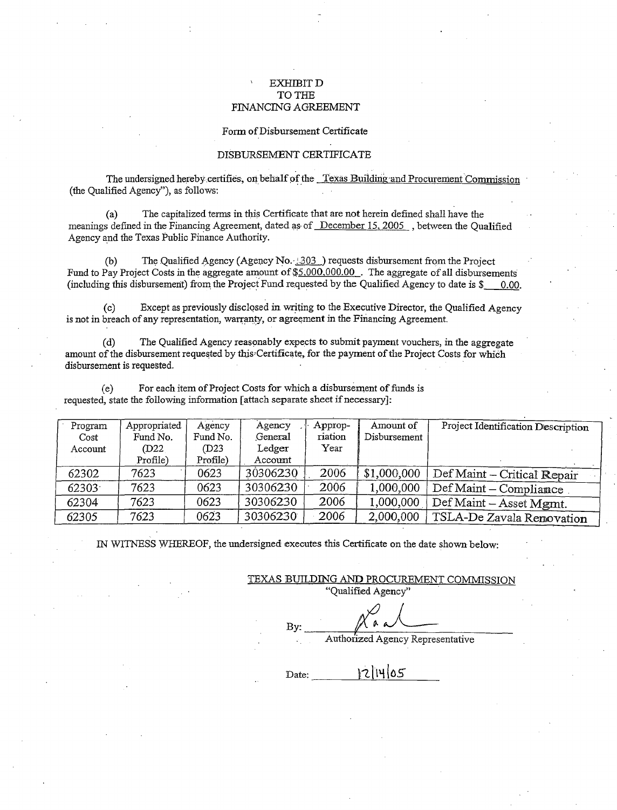#### **EXHIBIT D** TO THE FINANCING AGREEMENT

#### Form of Disbursement Certificate

#### DISBURSEMENT CERTIFICATE

The undersigned hereby certifies, on behalf of the Texas Building and Procurement Commission (the Qualified Agency"), as follows:

The capitalized terms in this Certificate that are not herein defined shall have the  $(a)$ meanings defined in the Financing Agreement, dated as of December 15, 2005, between the Oualified Agency and the Texas Public Finance Authority.

The Qualified Agency (Agency No. 303) requests disbursement from the Project  $(b)$ Fund to Pay Project Costs in the aggregate amount of \$5,000,000.00. The aggregate of all disbursements (including this disbursement) from the Project Fund requested by the Qualified Agency to date is \$  $0.00.$ 

Except as previously disclosed in writing to the Executive Director, the Qualified Agency  $(c)$ is not in breach of any representation, warranty, or agreement in the Financing Agreement.

The Qualified Agency reasonably expects to submit payment vouchers, in the aggregate  $(d)$ amount of the disbursement requested by this Certificate, for the payment of the Project Costs for which disbursement is requested.

For each item of Project Costs for which a disbursement of funds is  $(e)$ requested, state the following information [attach separate sheet if necessary]:

| Program | Appropriated       | Agency   | Agency   | Approp- | Amount of    | Project Identification Description |
|---------|--------------------|----------|----------|---------|--------------|------------------------------------|
| Cost    | Fund No.           | Fund No. | General  | riation | Disbursement |                                    |
| Account | (D <sub>22</sub> ) | (D23     | Ledger   | Year    |              |                                    |
|         | Profile)           | Profile) | Account  |         |              |                                    |
| 62302   | 7623               | 0623     | 30306230 | 2006    | \$1,000,000  | Def Maint - Critical Repair        |
| 62303   | 7623               | 0623     | 30306230 | 2006    | 1,000,000    | Def Maint – Compliance             |
| 62304   | 7623               | 0623     | 30306230 | 2006    | 1,000,000    | Def Maint - Asset Mgmt.            |
| 62305   | 7623               | 0623     | 30306230 | 2006    | 2,000,000    | TSLA-De Zavala Renovation          |

IN WITNESS WHEREOF, the undersigned executes this Certificate on the date shown below:

TEXAS BUILDING AND PROCUREMENT COMMISSION

'Qualified Agency''

By:

Authorized Agency Representative

12/14/05 Date: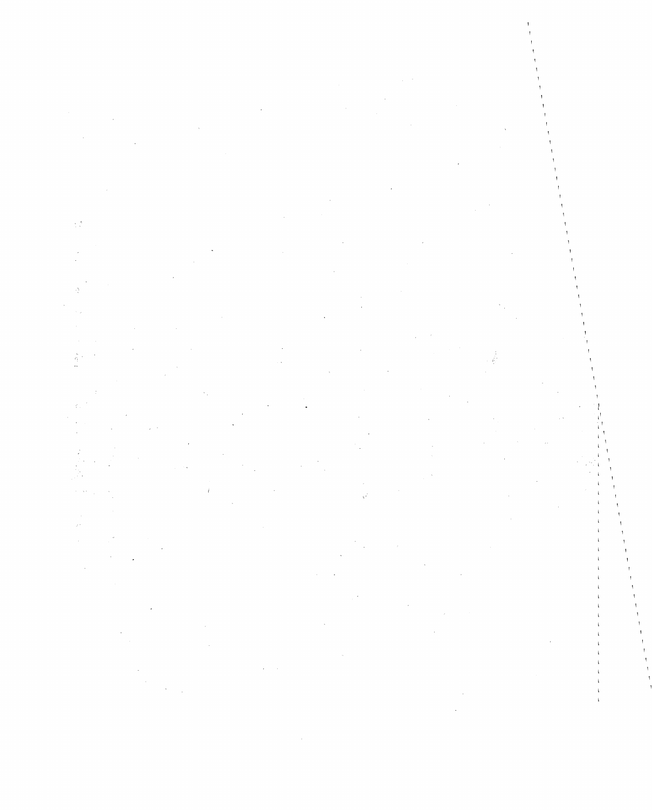$\frac{1}{2}$  ,  $\frac{1}{2}$ 

 $\mathcal{L}_{\text{max}}$  .  $\label{eq:2} \frac{1}{\sqrt{2}}\int_0^1\frac{1}{\sqrt{2\pi}}\,d\mu\,d\mu$ 

 $\mathcal{A}^{\mathcal{A}}$ 

 $\mathcal{L}^{\text{max}}_{\text{max}}$ 

 $\label{eq:2.1} \frac{1}{\sqrt{2}}\left(\frac{1}{\sqrt{2}}\right)^{2} \left(\frac{1}{\sqrt{2}}\right)^{2} \left(\frac{1}{\sqrt{2}}\right)^{2} \left(\frac{1}{\sqrt{2}}\right)^{2} \left(\frac{1}{\sqrt{2}}\right)^{2} \left(\frac{1}{\sqrt{2}}\right)^{2} \left(\frac{1}{\sqrt{2}}\right)^{2} \left(\frac{1}{\sqrt{2}}\right)^{2} \left(\frac{1}{\sqrt{2}}\right)^{2} \left(\frac{1}{\sqrt{2}}\right)^{2} \left(\frac{1}{\sqrt{2}}\right)^{2} \left(\$ 

 $\sim 10^{11}$  $\mathcal{L}^{\text{max}}_{\text{max}}$  $\frac{1}{2} \sqrt{\frac{1}{2}}$ 

 $\label{eq:2.1} \frac{1}{\sqrt{2}}\sum_{i=1}^n\frac{1}{\sqrt{2}}\left(\frac{1}{\sqrt{2}}\sum_{i=1}^n\frac{1}{\sqrt{2}}\sum_{i=1}^n\frac{1}{\sqrt{2}}\sum_{i=1}^n\frac{1}{\sqrt{2}}\sum_{i=1}^n\frac{1}{\sqrt{2}}\sum_{i=1}^n\frac{1}{\sqrt{2}}\sum_{i=1}^n\frac{1}{\sqrt{2}}\sum_{i=1}^n\frac{1}{\sqrt{2}}\sum_{i=1}^n\frac{1}{\sqrt{2}}\sum_{i=1}^n\frac{1}{\sqrt{2$  $\label{eq:2.1} \frac{1}{\sqrt{2}}\sum_{i=1}^n\frac{1}{\sqrt{2}}\sum_{i=1}^n\frac{1}{\sqrt{2}}\sum_{i=1}^n\frac{1}{\sqrt{2}}\sum_{i=1}^n\frac{1}{\sqrt{2}}\sum_{i=1}^n\frac{1}{\sqrt{2}}\sum_{i=1}^n\frac{1}{\sqrt{2}}\sum_{i=1}^n\frac{1}{\sqrt{2}}\sum_{i=1}^n\frac{1}{\sqrt{2}}\sum_{i=1}^n\frac{1}{\sqrt{2}}\sum_{i=1}^n\frac{1}{\sqrt{2}}\sum_{i=1}^n\frac$  $\label{eq:2.1} \frac{1}{\sqrt{2}}\left(\frac{1}{\sqrt{2}}\right)^{2} \frac{1}{\sqrt{2}}\left(\frac{1}{\sqrt{2}}\right)^{2} \frac{1}{\sqrt{2}}\left(\frac{1}{\sqrt{2}}\right)^{2} \frac{1}{\sqrt{2}}\left(\frac{1}{\sqrt{2}}\right)^{2} \frac{1}{\sqrt{2}}\left(\frac{1}{\sqrt{2}}\right)^{2} \frac{1}{\sqrt{2}}\left(\frac{1}{\sqrt{2}}\right)^{2} \frac{1}{\sqrt{2}}\left(\frac{1}{\sqrt{2}}\right)^{2} \frac{1}{\sqrt{2}}\left(\frac{$ 

 $\label{eq:2} \frac{1}{\sqrt{2}}\sum_{i=1}^n\frac{1}{\sqrt{2}}\sum_{j=1}^n\frac{1}{\sqrt{2}}\sum_{j=1}^n\frac{1}{\sqrt{2}}\sum_{j=1}^n\frac{1}{\sqrt{2}}\sum_{j=1}^n\frac{1}{\sqrt{2}}\sum_{j=1}^n\frac{1}{\sqrt{2}}\sum_{j=1}^n\frac{1}{\sqrt{2}}\sum_{j=1}^n\frac{1}{\sqrt{2}}\sum_{j=1}^n\frac{1}{\sqrt{2}}\sum_{j=1}^n\frac{1}{\sqrt{2}}\sum_{j=1}^n\frac{1$  $\frac{1}{2}$  $\mathcal{A}^{(1)}$ 

 $\label{eq:2.1} \frac{1}{2} \sum_{i=1}^n \frac{1}{2} \sum_{j=1}^n \frac{1}{2} \sum_{j=1}^n \frac{1}{2} \sum_{j=1}^n \frac{1}{2} \sum_{j=1}^n \frac{1}{2} \sum_{j=1}^n \frac{1}{2} \sum_{j=1}^n \frac{1}{2} \sum_{j=1}^n \frac{1}{2} \sum_{j=1}^n \frac{1}{2} \sum_{j=1}^n \frac{1}{2} \sum_{j=1}^n \frac{1}{2} \sum_{j=1}^n \frac{1}{2} \sum_{j=1}^n \frac{$  $\label{eq:2.1} \frac{1}{\sqrt{2}}\int_{0}^{\infty}\frac{1}{\sqrt{2\pi}}\left(\frac{1}{\sqrt{2\pi}}\right)^{2}d\mu\,d\mu\,.$  $\frac{1}{2}$  $\label{eq:2.1} \begin{split} \mathcal{L}_{\text{max}}(\mathcal{L}_{\text{max}}) = \mathcal{L}_{\text{max}}(\mathcal{L}_{\text{max}}) \end{split}$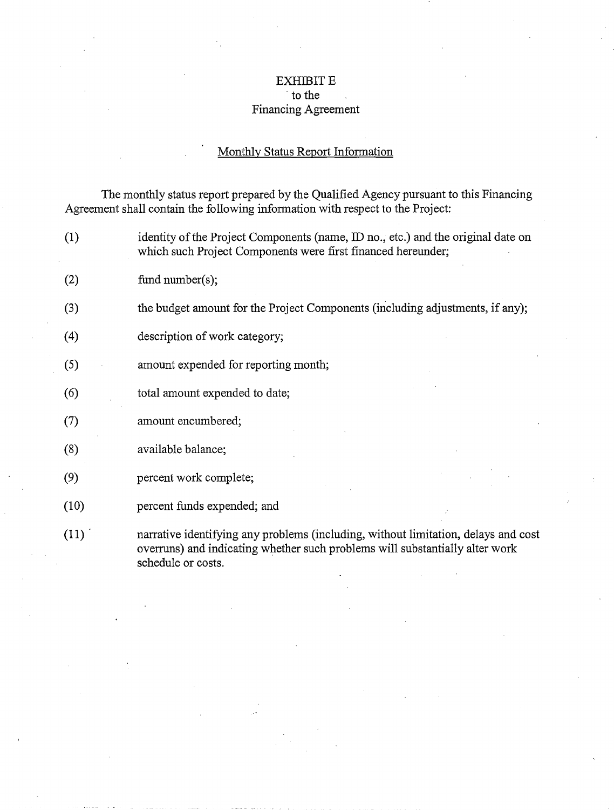# EXHIBIT ${\bf E}$ ·to the Financing Agreement

# Monthly Status Report Information

The monthly status report prepared by the Qualified Agency pursuant to this Financing Agreement shall contain the following information with respect to the Project:

| (1)  | identity of the Project Components (name, ID no., etc.) and the original date on<br>which such Project Components were first financed hereunder;                                         |
|------|------------------------------------------------------------------------------------------------------------------------------------------------------------------------------------------|
| (2)  | fund $number(s)$ ;                                                                                                                                                                       |
| (3)  | the budget amount for the Project Components (including adjustments, if any);                                                                                                            |
| (4)  | description of work category;                                                                                                                                                            |
| (5)  | amount expended for reporting month;                                                                                                                                                     |
| (6)  | total amount expended to date;                                                                                                                                                           |
| (7)  | amount encumbered;                                                                                                                                                                       |
| (8)  | available balance;                                                                                                                                                                       |
| (9)  | percent work complete;                                                                                                                                                                   |
| (10) | percent funds expended; and                                                                                                                                                              |
| (11) | narrative identifying any problems (including, without limitation, delays and cost<br>overruns) and indicating whether such problems will substantially alter work<br>schedule or costs. |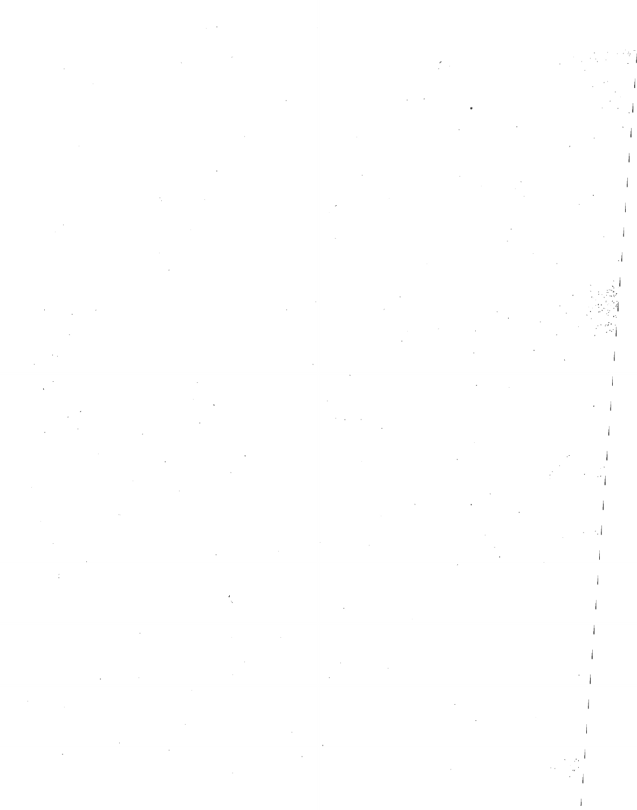$\label{eq:2.1} \mathcal{L}(\mathcal{L}^{\text{c}}_{\text{c}}) = \mathcal{L}(\mathcal{L}^{\text{c}}_{\text{c}}) = \mathcal{L}(\mathcal{L}^{\text{c}}_{\text{c}})$ 

 $\label{eq:2.1} \frac{1}{\sqrt{2\pi}}\frac{1}{\sqrt{2\pi}}\frac{1}{\sqrt{2\pi}}\frac{1}{\sqrt{2\pi}}\frac{1}{\sqrt{2\pi}}\frac{1}{\sqrt{2\pi}}\frac{1}{\sqrt{2\pi}}\frac{1}{\sqrt{2\pi}}\frac{1}{\sqrt{2\pi}}\frac{1}{\sqrt{2\pi}}\frac{1}{\sqrt{2\pi}}\frac{1}{\sqrt{2\pi}}\frac{1}{\sqrt{2\pi}}\frac{1}{\sqrt{2\pi}}\frac{1}{\sqrt{2\pi}}\frac{1}{\sqrt{2\pi}}\frac{1}{\sqrt{2\pi}}\frac{1}{\sqrt$  $\mathcal{A}^{(1)}$  .

 $\frac{1}{\sqrt{2}}\int_{0}^{\sqrt{2}}\frac{1}{\sqrt{2}}\left( \frac{1}{2}\left( \frac{1}{2}\right) ^{2}+\frac{1}{2}\left( \frac{1}{2}\right) ^{2}+\frac{1}{2}\left( \frac{1}{2}\right) ^{2}+\frac{1}{2}\left( \frac{1}{2}\right) ^{2}+\frac{1}{2}\left( \frac{1}{2}\right) ^{2}+\frac{1}{2}\left( \frac{1}{2}\right) ^{2}+\frac{1}{2}\left( \frac{1}{2}\right) ^{2}+\frac{1}{2}\left( \frac{1}{2}\right) ^{2}+\frac{1}{2}\left( \$ 

> $\label{eq:2.1} \frac{1}{2} \int_{\mathbb{R}^3} \frac{1}{\sqrt{2\pi}} \int_{\mathbb{R}^3} \frac{1}{\sqrt{2\pi}} \int_{\mathbb{R}^3} \frac{1}{\sqrt{2\pi}} \int_{\mathbb{R}^3} \frac{1}{\sqrt{2\pi}} \int_{\mathbb{R}^3} \frac{1}{\sqrt{2\pi}} \int_{\mathbb{R}^3} \frac{1}{\sqrt{2\pi}} \int_{\mathbb{R}^3} \frac{1}{\sqrt{2\pi}} \int_{\mathbb{R}^3} \frac{1}{\sqrt{2\pi}} \int_{\mathbb{R}^3}$  $\label{eq:2.1} \frac{1}{2}\sum_{i=1}^n\frac{1}{2}\sum_{j=1}^n\frac{1}{2}\sum_{j=1}^n\frac{1}{2}\sum_{j=1}^n\frac{1}{2}\sum_{j=1}^n\frac{1}{2}\sum_{j=1}^n\frac{1}{2}\sum_{j=1}^n\frac{1}{2}\sum_{j=1}^n\frac{1}{2}\sum_{j=1}^n\frac{1}{2}\sum_{j=1}^n\frac{1}{2}\sum_{j=1}^n\frac{1}{2}\sum_{j=1}^n\frac{1}{2}\sum_{j=1}^n\frac{1}{2}\sum_{j=1}^n\$

 $\label{eq:2.1} \frac{1}{2} \sum_{i=1}^n \frac{1}{2} \sum_{j=1}^n \frac{1}{2} \sum_{j=1}^n \frac{1}{2} \sum_{j=1}^n \frac{1}{2} \sum_{j=1}^n \frac{1}{2} \sum_{j=1}^n \frac{1}{2} \sum_{j=1}^n \frac{1}{2} \sum_{j=1}^n \frac{1}{2} \sum_{j=1}^n \frac{1}{2} \sum_{j=1}^n \frac{1}{2} \sum_{j=1}^n \frac{1}{2} \sum_{j=1}^n \frac{1}{2} \sum_{j=1}^n \frac{$ 

 $\frac{d}{dt}$  $\mathcal{L}^{(1)}$  . 

 $\label{eq:2} \begin{array}{c} \left\langle \begin{array}{c} \mathbf{1} \\ \mathbf{1} \end{array} \right\rangle \left\langle \begin{array}{c} \mathbf{1} \\ \mathbf{1} \end{array} \right\rangle \\ \left\langle \begin{array}{c} \mathbf{1} \\ \mathbf{1} \end{array} \right\rangle \left\langle \begin{array}{c} \mathbf{1} \\ \mathbf{1} \end{array} \right\rangle \left\langle \begin{array}{c} \mathbf{1} \\ \mathbf{1} \end{array} \right\rangle \left\langle \begin{array}{c} \mathbf{1} \\ \mathbf{1} \end{array} \right\rangle \left\langle \begin{$